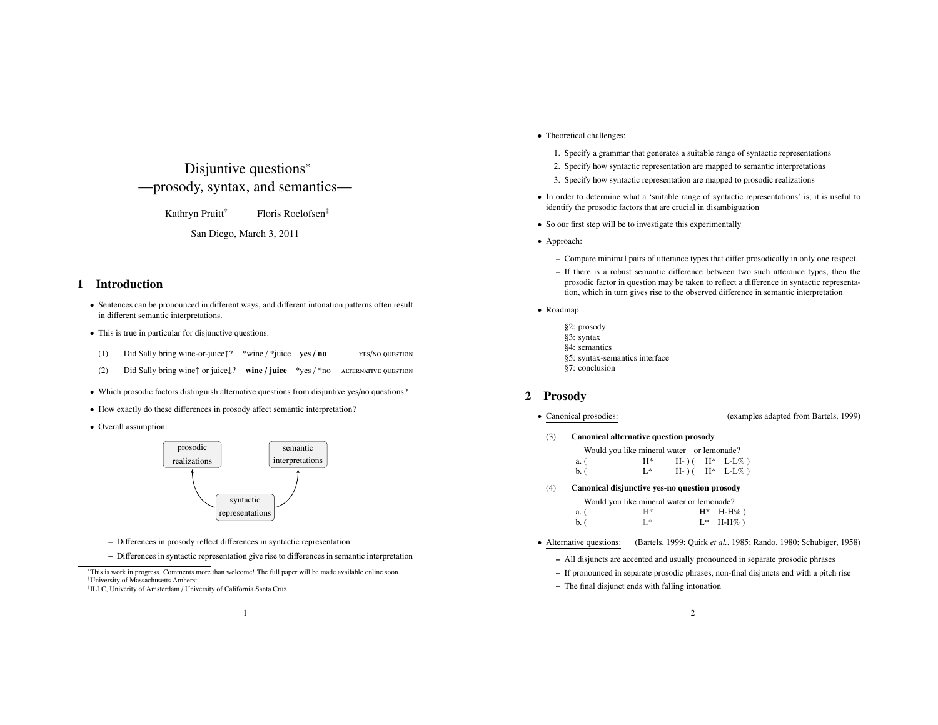# Disjuntive questions<sup>∗</sup> —prosody, syntax, and semantics—

Kathryn Pruitt<sup>†</sup> Floris Roelofsen<sup>‡</sup>

San Diego, March 3, 2011

## 1 Introduction

- Sentences can be pronounced in different ways, and different intonation patterns often result in different semantic interpretations.
- This is true in particular for disjunctive questions:
- (1) Did Sally bring wine-or-juice↑? \*wine / \*juice ves / no yes/no question
- (2) Did Sally bring wine↑ or juice↓? wine / juice \*yes / \*no alternative question
- Which prosodic factors distinguish alternative questions from disjuntive yes/no questions?
- How exactly do these differences in prosody affect semantic interpretation?
- Overall assumption:



- Differences in prosody reflect differences in syntactic representation
- Differences in syntactic representation give rise to differences in semantic interpretation

‡ILLC, Univerity of Amsterdam / University of California Santa Cruz

- Theoretical challenges:
	- 1. Specify a grammar that generates a suitable range of syntactic representations
	- 2. Specify how syntactic representation are mapped to semantic interpretations
	- 3. Specify how syntactic representation are mapped to prosodic realizations
- In order to determine what a 'suitable range of syntactic representations' is, it is useful to identify the prosodic factors that are crucial in disambiguation
- So our first step will be to investigate this experimentally
- Approach:
	- Compare minimal pairs of utterance types that differ prosodically in only one respect.
	- If there is a robust semantic difference between two such utterance types, then the prosodic factor in question may be taken to reflect a difference in syntactic representation, which in turn gives rise to the observed difference in semantic interpretation
- Roadmap:
	- §2: prosody §3: syntax §4: semantics §5: syntax-semantics interface §7: conclusion

## 2 Prosody

- 
- Canonical prosodies: (examples adapted from Bartels, 1999)
- (3) Canonical alternative question prosody

| a. (     | $H^*$                                         |  | $H-)(H^* L-L\%)$ |
|----------|-----------------------------------------------|--|------------------|
| $b.$ $($ | $L^*$                                         |  | $H-)(H^* L-L\%)$ |
| (4)      | Canonical disjunctive yes-no question prosody |  |                  |
|          | Would you like mineral water or lemonade?     |  |                  |
| a. (     | $H^*$                                         |  | $H^*$ H-H%)      |
| $b.$ $($ | 干水                                            |  | $L^*$ H-H%)      |

- Alternative questions: (Bartels, 1999; Quirk *et al.*, 1985; Rando, 1980; Schubiger, 1958)
	- All disjuncts are accented and usually pronounced in separate prosodic phrases
	- If pronounced in separate prosodic phrases, non-final disjuncts end with a pitch rise
	- The final disjunct ends with falling intonation

<sup>∗</sup>This is work in progress. Comments more than welcome! The full paper will be made available online soon. †University of Massachusetts Amherst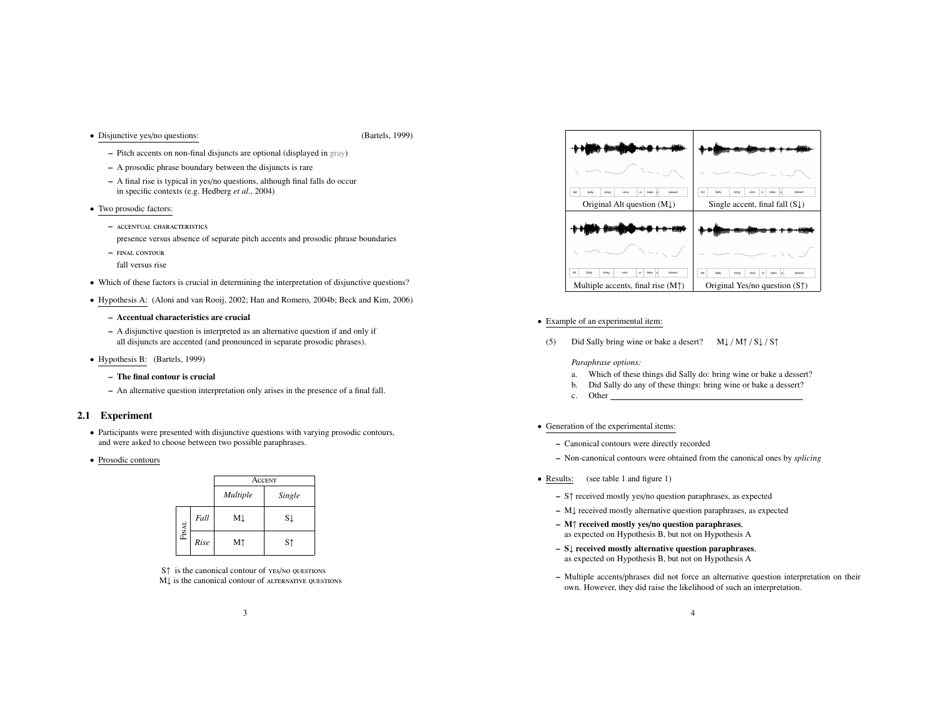• Disjunctive yes/no questions: (Bartels, 1999)

- Pitch accents on non-final disjuncts are optional (displayed in gray)
- A prosodic phrase boundary between the disjuncts is rare
- A final rise is typical in yes/no questions, although final falls do occur in specific contexts (e.g. Hedberg *et al.*, 2004)
- Two prosodic factors:
	- accentual characteristics
	- presence versus absence of separate pitch accents and prosodic phrase boundaries
	- final contour
	- fall versus rise
- Which of these factors is crucial in determining the interpretation of disjunctive questions?
- Hypothesis A: (Aloni and van Rooij, 2002; Han and Romero, 2004b; Beck and Kim, 2006)
	- Accentual characteristics are crucial
	- A disjunctive question is interpreted as an alternative question if and only if all disjuncts are accented (and pronounced in separate prosodic phrases).
- Hypothesis B: (Bartels, 1999)
	- The final contour is crucial
	- An alternative question interpretation only arises in the presence of a final fall.

## 2.1 Experiment

- Participants were presented with disjunctive questions with varying prosodic contours, and were asked to choose between two possible paraphrases.
- Prosodic contours

|              |      | ACCENT   |        |
|--------------|------|----------|--------|
|              |      | Multiple | Single |
|              | Fall | MĮ       | SĮ     |
| <b>FINAL</b> | Rise | Мî       | Sî     |

S↑ is the canonical contour of yes/no questions M↓ is the canonical contour of altERNATIVE QUESTIONS



- Example of an experimental item:
- (5) Did Sally bring wine or bake a desert?  $M\downarrow/M\uparrow/S\downarrow/S\uparrow$

*Paraphrase options:*

- a. Which of these things did Sally do: bring wine or bake a dessert?
- b. Did Sally do any of these things: bring wine or bake a dessert?
- c. Other
- Generation of the experimental items:
	- Canonical contours were directly recorded
	- Non-canonical contours were obtained from the canonical ones by *splicing*
- Results: (see table 1 and figure 1)
	- S↑ received mostly yes/no question paraphrases, as expected
	- M↓ received mostly alternative question paraphrases, as expected
	- M↑ received mostly yes/no question paraphrases, as expected on Hypothesis B, but not on Hypothesis A
	- S↓ received mostly alternative question paraphrases, as expected on Hypothesis B, but not on Hypothesis A
	- Multiple accents/phrases did not force an alternative question interpretation on their own. However, they did raise the likelihood of such an interpretation.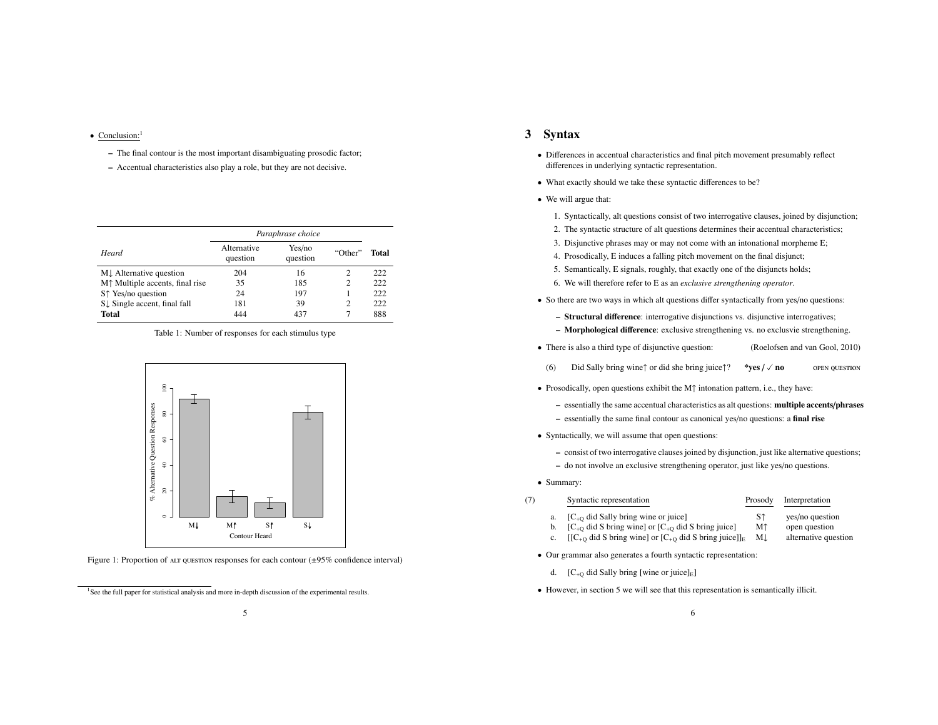## • Conclusion:<sup>1</sup>

- The final contour is the most important disambiguating prosodic factor;
- Accentual characteristics also play a role, but they are not decisive.

|                                                                 | Paraphrase choice       |                    |                |       |
|-----------------------------------------------------------------|-------------------------|--------------------|----------------|-------|
| Heard                                                           | Alternative<br>question | Yes/no<br>question | "Other"        | Total |
| M. Alternative question                                         | 204                     | 16                 | 2              | 222   |
| M <sup><math>\uparrow</math></sup> Multiple accents, final rise | 35                      | 185                | $\overline{c}$ | 222   |
| S <sup>†</sup> Yes/no question                                  | 24                      | 197                |                | 222   |
| S. Single accent, final fall                                    | 181                     | 39                 | $\overline{c}$ | 222   |
| <b>Total</b>                                                    | 444                     | 437                |                | 888   |

Table 1: Number of responses for each stimulus type



Figure 1: Proportion of ALT QUESTION responses for each contour  $(\pm 95\%$  confidence interval)

## 3 Syntax

- Differences in accentual characteristics and final pitch movement presumably reflect differences in underlying syntactic representation.
- What exactly should we take these syntactic differences to be?
- We will argue that:
	- 1. Syntactically, alt questions consist of two interrogative clauses, joined by disjunction;
	- 2. The syntactic structure of alt questions determines their accentual characteristics;
	- 3. Disjunctive phrases may or may not come with an intonational morpheme E;
	- 4. Prosodically, E induces a falling pitch movement on the final disjunct;
	- 5. Semantically, E signals, roughly, that exactly one of the disjuncts holds;
	- 6. We will therefore refer to E as an *exclusive strengthening operator*.
- So there are two ways in which alt questions differ syntactically from yes/no questions:
	- Structural difference: interrogative disjunctions vs. disjunctive interrogatives;
	- Morphological difference: exclusive strengthening vs. no exclusvie strengthening.
- There is also a third type of disjunctive question: (Roelofsen and van Gool, 2010)
- (6) Did Sally bring wine↑ or did she bring juice↑? \*ves  $\ell \vee$  no open question
- Prosodically, open questions exhibit the M↑ intonation pattern, i.e., they have:
	- essentially the same accentual characteristics as alt questions: multiple accents/phrases
	- essentially the same final contour as canonical yes/no questions: a final rise
- Syntactically, we will assume that open questions:
	- consist of two interrogative clauses joined by disjunction, just like alternative questions;
	- do not involve an exclusive strengthening operator, just like yes/no questions.
- Summary:
- (7) Syntactic representation Prosody Interpretation
	-
	- a.  $[C_{+Q}$  did Sally bring wine or juice] S↑ yes/no question<br>b.  $[C_{+Q}$  did S bring wine] or  $[C_{+Q}$  did S bring juice] M↑ open question
		-
	- $[C_{+Q}$  did S bring wine] or  $[C_{+Q}$  did S bring juice] M↑ open question<br> $[[C_{+Q}$  did S bring wine] or  $[C_{+Q}$  did S bring juice]]<sub>E</sub> M↓ alternative question c.  $[[C_{+Q} \text{ did } S \text{ bring wine}]$  or  $[C_{+Q} \text{ did } S \text{ bring juice}]]_E$
	- Our grammar also generates a fourth syntactic representation:
		- d.  $[C_{+O}$  did Sally bring [wine or juice]<sub>E</sub>]
	- However, in section 5 we will see that this representation is semantically illicit.

<sup>&</sup>lt;sup>1</sup>See the full paper for statistical analysis and more in-depth discussion of the experimental results.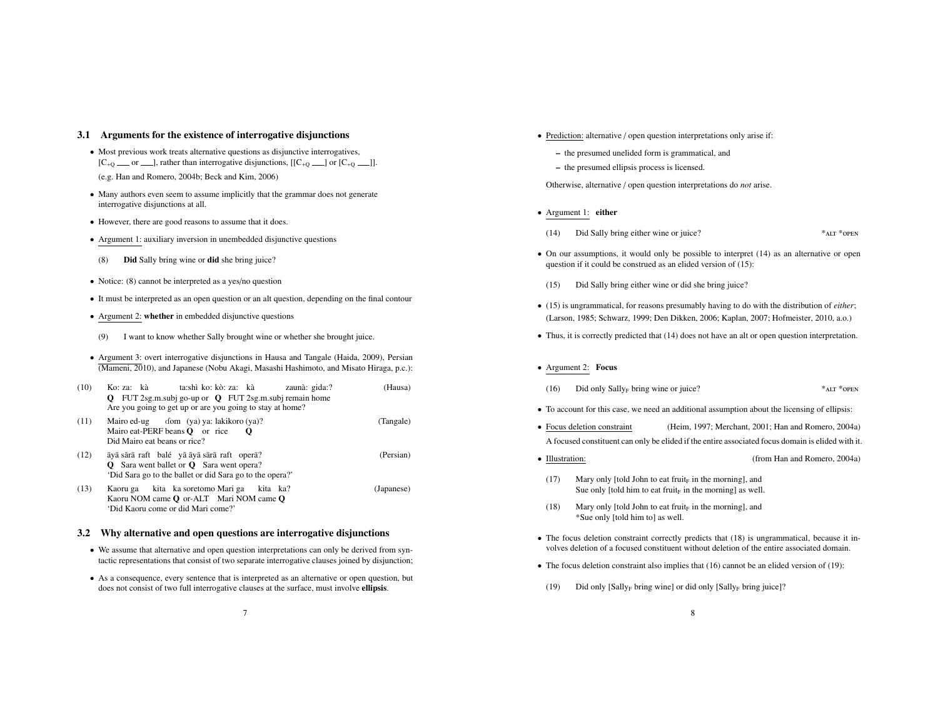## 3.1 Arguments for the existence of interrogative disjunctions

- Most previous work treats alternative questions as disjunctive interrogatives,  $[C_{+Q} \quad \text{or} \quad \text{and} \quad]$ , rather than interrogative disjunctions,  $[[C_{+Q} \quad \text{and} \quad C_{+Q} \quad \text{and} \quad]$ . (e.g. Han and Romero, 2004b; Beck and Kim, 2006)
- Many authors even seem to assume implicitly that the grammar does not generate interrogative disjunctions at all.
- However, there are good reasons to assume that it does.
- Argument 1: auxiliary inversion in unembedded disjunctive questions
- (8) Did Sally bring wine or did she bring juice?
- Notice: (8) cannot be interpreted as a yes/no question
- It must be interpreted as an open question or an alt question, depending on the final contour
- Argument 2: whether in embedded disjunctive questions
- (9) I want to know whether Sally brought wine or whether she brought juice.
- Argument 3: overt interrogative disjunctions in Hausa and Tangale (Haida, 2009), Persian (Mameni, 2010), and Japanese (Nobu Akagi, Masashi Hashimoto, and Misato Hiraga, p.c.):

| (10) | ta:shì ko: kò: za: kà<br>Ko: za: kà<br>zaunà: gida:?<br>Q FUT 2sg.m.subj go-up or Q FUT 2sg.m.subj remain home<br>Are you going to get up or are you going to stay at home? | (Hausa)    |
|------|-----------------------------------------------------------------------------------------------------------------------------------------------------------------------------|------------|
| (11) | Mairo ed-ug dom (ya) ya: lakikoro (ya)?<br>Mairo eat-PERF beans $Q$ or rice<br>O<br>Did Mairo eat beans or rice?                                                            | (Tangale)  |
| (12) | āyā sārā raft balé yā āyā sārā raft operā?<br><b>Q</b> Sara went ballet or <b>Q</b> Sara went opera?<br>'Did Sara go to the ballet or did Sara go to the opera?'            | (Persian)  |
| (13) | Kaoru ga kita ka soretomo Mari ga kita ka?<br>Kaoru NOM came <b>Q</b> or-ALT Mari NOM came <b>Q</b><br>'Did Kaoru come or did Mari come?'                                   | (Japanese) |

#### 3.2 Why alternative and open questions are interrogative disjunctions

- We assume that alternative and open question interpretations can only be derived from syntactic representations that consist of two separate interrogative clauses joined by disjunction;
- As a consequence, every sentence that is interpreted as an alternative or open question, but does not consist of two full interrogative clauses at the surface, must involve ellipsis.
- Prediction: alternative / open question interpretations only arise if:
	- the presumed unelided form is grammatical, and
	- the presumed ellipsis process is licensed.

Otherwise, alternative / open question interpretations do *not* arise.

- Argument 1: either
- (14) Did Sally bring either wine or juice? \*ALT \*OPEN
- On our assumptions, it would only be possible to interpret (14) as an alternative or open question if it could be construed as an elided version of (15):
	- (15) Did Sally bring either wine or did she bring juice?
- (15) is ungrammatical, for reasons presumably having to do with the distribution of *either*; (Larson, 1985; Schwarz, 1999; Den Dikken, 2006; Kaplan, 2007; Hofmeister, 2010, a.o.)
- Thus, it is correctly predicted that (14) does not have an alt or open question interpretation.
- Argument 2: Focus
- (16) Did only  $Sally_F$  bring wine or juice? \*ALT \*OPEN
- To account for this case, we need an additional assumption about the licensing of ellipsis:
- Focus deletion constraint (Heim, 1997; Merchant, 2001; Han and Romero, 2004a) A focused constituent can only be elided if the entire associated focus domain is elided with it.
- Illustration: (from Han and Romero, 2004a)
- (17) Mary only [told John to eat fruit<sub>F</sub> in the morning], and Sue only [told him to eat fruit $_F$  in the morning] as well.
- (18) Mary only [told John to eat fruit<sub>F</sub> in the morning], and \*Sue only [told him to] as well.
- The focus deletion constraint correctly predicts that (18) is ungrammatical, because it involves deletion of a focused constituent without deletion of the entire associated domain.
- The focus deletion constraint also implies that (16) cannot be an elided version of (19):
- (19) Did only  $[Sally_F]$  bring wine] or did only  $[Sally_F]$  bring juice]?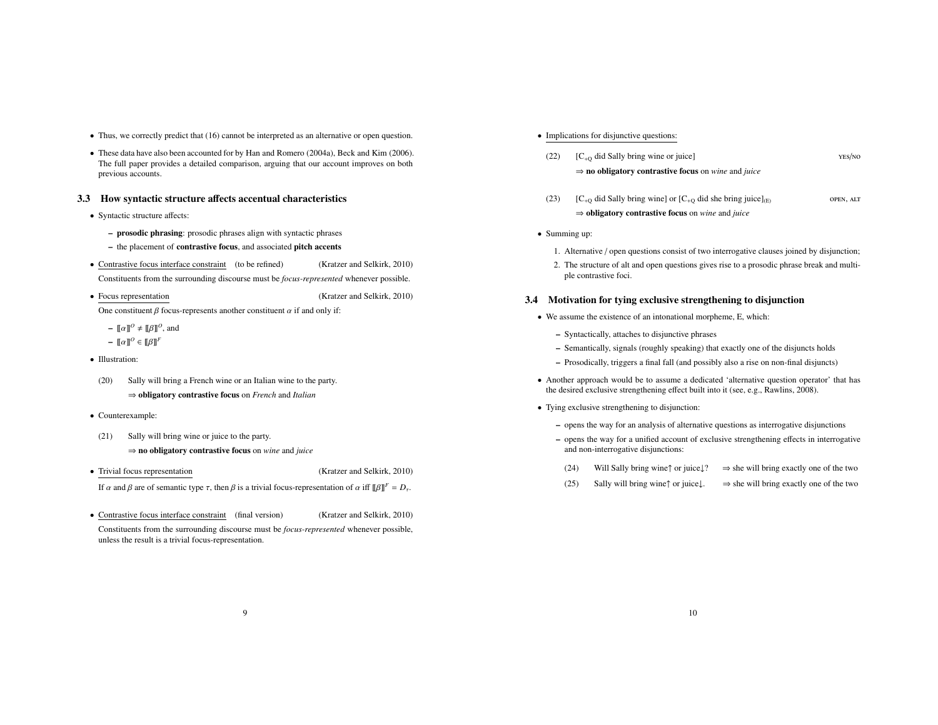- Thus, we correctly predict that (16) cannot be interpreted as an alternative or open question.
- These data have also been accounted for by Han and Romero (2004a), Beck and Kim (2006). The full paper provides a detailed comparison, arguing that our account improves on both previous accounts.

### 3.3 How syntactic structure affects accentual characteristics

- Syntactic structure affects:
	- prosodic phrasing: prosodic phrases align with syntactic phrases
	- the placement of contrastive focus, and associated pitch accents
- Contrastive focus interface constraint (to be refined) (Kratzer and Selkirk, 2010) Constituents from the surrounding discourse must be *focus-represented* whenever possible.
- Focus representation (Kratzer and Selkirk, 2010)

One constituent  $\beta$  focus-represents another constituent  $\alpha$  if and only if:

- $\llbracket \alpha \rrbracket^0 \neq \llbracket \beta \rrbracket^0$ , and
- $[\![\alpha]\!]^0 \in [\![\beta]\!]^F$
- Illustration:
- (20) Sally will bring a French wine or an Italian wine to the party. ⇒ obligatory contrastive focus on *French* and *Italian*
- Counterexample:
- (21) Sally will bring wine or juice to the party. ⇒ no obligatory contrastive focus on *wine* and *juice*
- Trivial focus representation (Kratzer and Selkirk, 2010) If α and β are of semantic type τ, then β is a trivial focus-representation of α iff  $[\![\beta]\!]^F = D_τ$ .
- Contrastive focus interface constraint (final version) (Kratzer and Selkirk, 2010)
- Constituents from the surrounding discourse must be *focus-represented* whenever possible, unless the result is a trivial focus-representation.
- Implications for disjunctive questions:
- (22)  $[C_{+O}$  did Sally bring wine or juice] yes/no ⇒ no obligatory contrastive focus on *wine* and *juice*
- (23)  $[C_{+Q}$  did Sally bring wine] or  $[C_{+Q}$  did she bring juice]<sub>(E)</sub> open, ALT ⇒ obligatory contrastive focus on *wine* and *juice*
- Summing up:
	- 1. Alternative / open questions consist of two interrogative clauses joined by disjunction;
	- 2. The structure of alt and open questions gives rise to a prosodic phrase break and multiple contrastive foci.

## 3.4 Motivation for tying exclusive strengthening to disjunction

- We assume the existence of an intonational morpheme, E, which:
	- Syntactically, attaches to disjunctive phrases
	- Semantically, signals (roughly speaking) that exactly one of the disjuncts holds
	- Prosodically, triggers a final fall (and possibly also a rise on non-final disjuncts)
- Another approach would be to assume a dedicated 'alternative question operator' that has the desired exclusive strengthening effect built into it (see, e.g., Rawlins, 2008).
- Tying exclusive strengthening to disjunction:
	- opens the way for an analysis of alternative questions as interrogative disjunctions
	- opens the way for a unified account of exclusive strengthening effects in interrogative and non-interrogative disjunctions:
	- (24) Will Sally bring wine↑ or juice↓?  $\Rightarrow$  she will bring exactly one of the two
	- (25) Sally will bring wine↑ or juice $\downarrow$ .  $\Rightarrow$  she will bring exactly one of the two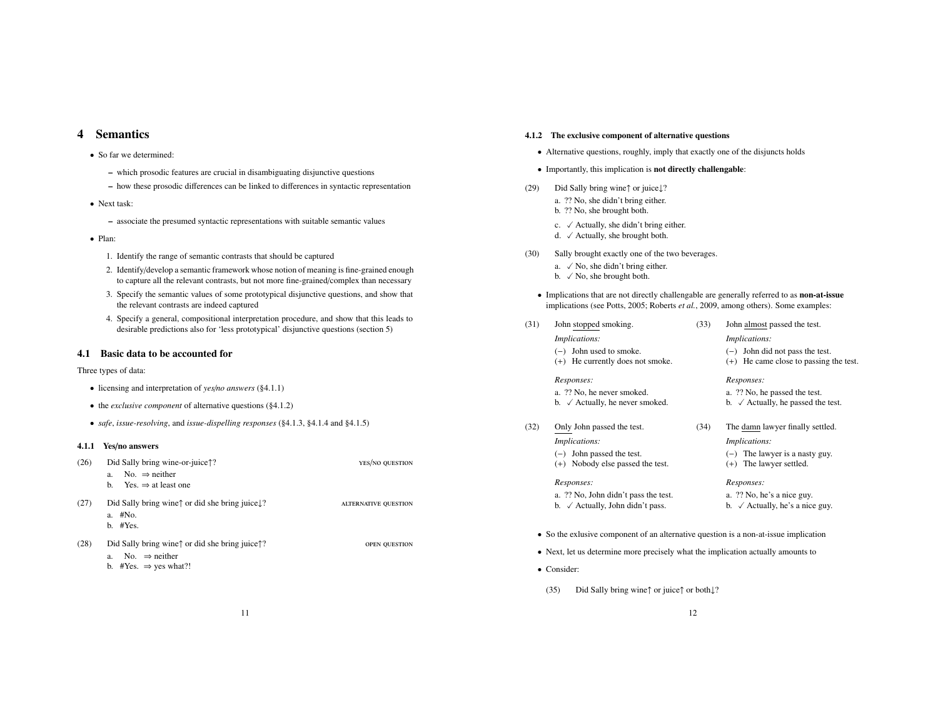## 4 Semantics

- So far we determined:
	- which prosodic features are crucial in disambiguating disjunctive questions
	- how these prosodic differences can be linked to differences in syntactic representation
- Next task:
	- associate the presumed syntactic representations with suitable semantic values
- Plan:
	- 1. Identify the range of semantic contrasts that should be captured
	- 2. Identify/develop a semantic framework whose notion of meaning is fine-grained enough to capture all the relevant contrasts, but not more fine-grained/complex than necessary
	- 3. Specify the semantic values of some prototypical disjunctive questions, and show that the relevant contrasts are indeed captured
	- 4. Specify a general, compositional interpretation procedure, and show that this leads to desirable predictions also for 'less prototypical' disjunctive questions (section 5)

## 4.1 Basic data to be accounted for

Three types of data:

- licensing and interpretation of *yes*/*no answers* (§4.1.1)
- the *exclusive component* of alternative questions (§4.1.2)
- *safe*, *issue-resolving*, and *issue-dispelling responses* (§4.1.3, §4.1.4 and §4.1.5)

### 4.1.1 Yes/no answers

| (26) | Did Sally bring wine-or-juice??                                                                                                             | YES/NO QUESTION             |
|------|---------------------------------------------------------------------------------------------------------------------------------------------|-----------------------------|
|      | No. $\Rightarrow$ neither<br>a.                                                                                                             |                             |
|      | b. Yes. $\Rightarrow$ at least one                                                                                                          |                             |
| (27) | Did Sally bring wine <sup><math>\uparrow</math></sup> or did she bring juice.<br>a. #No.<br>$b.$ #Yes.                                      | <b>ALTERNATIVE QUESTION</b> |
| (28) | Did Sally bring wine $\uparrow$ or did she bring juice $\uparrow$ ?<br>No. $\Rightarrow$ neither<br>a.<br>b. #Yes. $\Rightarrow$ yes what?! | <b>OPEN QUESTION</b>        |

#### 4.1.2 The exclusive component of alternative questions

- Alternative questions, roughly, imply that exactly one of the disjuncts holds
- Importantly, this implication is not directly challengable:
- (29) Did Sally bring wine↑ or juice↓?
	- a. ?? No, she didn't bring either. b. ?? No, she brought both.
	-
	- c.  $\checkmark$  Actually, she didn't bring either.
	- d.  $\checkmark$  Actually, she brought both.
- (30) Sally brought exactly one of the two beverages.
	- a.  $\sqrt{N_0}$ , she didn't bring either. b.  $\sqrt{N}$ o, she brought both.
	- Implications that are not directly challengable are generally referred to as non-at-issue implications (see Potts, 2005; Roberts *et al.*, 2009, among others). Some examples:

| (31) | John stopped smoking.                       | (33) | John almost passed the test.                  |
|------|---------------------------------------------|------|-----------------------------------------------|
|      | <i>Implications:</i>                        |      | <i>Implications:</i>                          |
|      | $(-)$ John used to smoke.                   |      | $(-)$ John did not pass the test.             |
|      | (+) He currently does not smoke.            |      | $(+)$ He came close to passing the test.      |
|      | Responses:                                  |      | Responses:                                    |
|      | a. ?? No, he never smoked.                  |      | a. ?? No, he passed the test.                 |
|      | b. $\checkmark$ Actually, he never smoked.  |      | b. $\checkmark$ Actually, he passed the test. |
| (32) | Only John passed the test.                  | (34) | The damn lawyer finally settled.              |
|      | <i>Implications:</i>                        |      | <i>Implications:</i>                          |
|      | $(-)$ John passed the test.                 |      | $(-)$ The lawyer is a nasty guy.              |
|      | (+) Nobody else passed the test.            |      | $(+)$ The lawyer settled.                     |
|      | Responses:                                  |      | Responses:                                    |
|      | a. ?? No, John didn't pass the test.        |      | a. ?? No, he's a nice guy.                    |
|      | b. $\checkmark$ Actually, John didn't pass. |      | b. $\checkmark$ Actually, he's a nice guy.    |

- Next, let us determine more precisely what the implication actually amounts to
- Consider:
- (35) Did Sally bring wine↑ or juice↑ or both↓?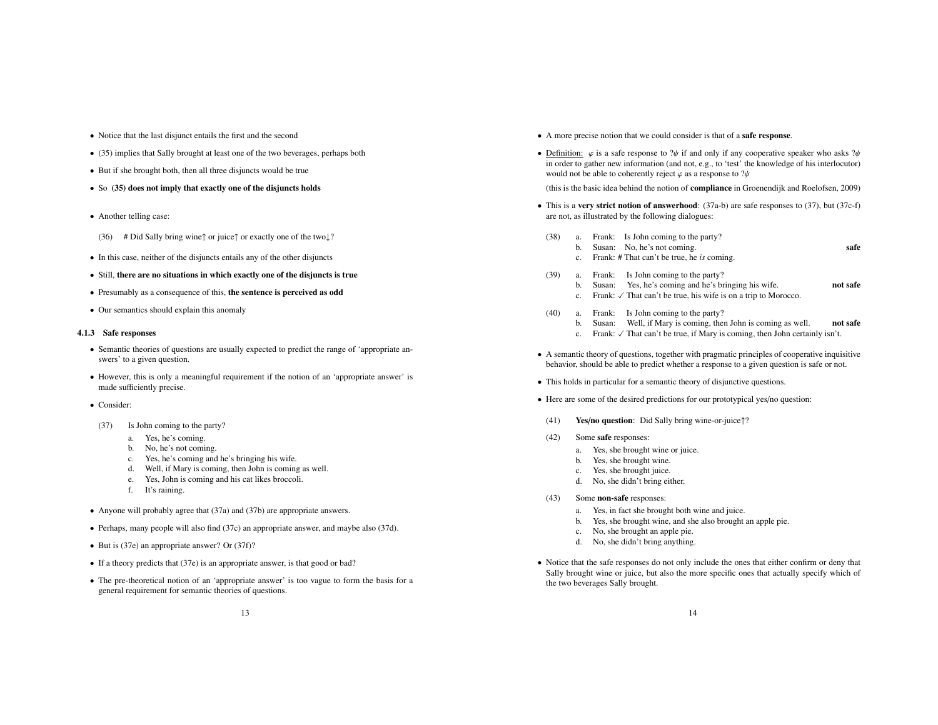- Notice that the last disjunct entails the first and the second
- (35) implies that Sally brought at least one of the two beverages, perhaps both
- But if she brought both, then all three disjuncts would be true
- So (35) does not imply that exactly one of the disjuncts holds
- Another telling case:
- (36) # Did Sally bring wine↑ or juice↑ or exactly one of the two↓?
- In this case, neither of the disjuncts entails any of the other disjuncts
- Still, there are no situations in which exactly one of the disjuncts is true
- Presumably as a consequence of this, the sentence is perceived as odd
- Our semantics should explain this anomaly

#### 4.1.3 Safe responses

- Semantic theories of questions are usually expected to predict the range of 'appropriate answers' to a given question.
- However, this is only a meaningful requirement if the notion of an 'appropriate answer' is made sufficiently precise.
- Consider:
- (37) Is John coming to the party?
	- a. Yes, he's coming.
	- b. No, he's not coming.
	- c. Yes, he's coming and he's bringing his wife.
	- d. Well, if Mary is coming, then John is coming as well.
	- e. Yes, John is coming and his cat likes broccoli.
	- f. It's raining.
- Anyone will probably agree that (37a) and (37b) are appropriate answers.
- Perhaps, many people will also find (37c) an appropriate answer, and maybe also (37d).
- But is (37e) an appropriate answer? Or (37f)?
- If a theory predicts that (37e) is an appropriate answer, is that good or bad?
- The pre-theoretical notion of an 'appropriate answer' is too vague to form the basis for a general requirement for semantic theories of questions.
- A more precise notion that we could consider is that of a safe response.
- Definition:  $\varphi$  is a safe response to  $\psi$  if and only if any cooperative speaker who asks  $\psi$ in order to gather new information (and not, e.g., to 'test' the knowledge of his interlocutor) would not be able to coherently reject  $\varphi$  as a response to  $\psi$

(this is the basic idea behind the notion of compliance in Groenendijk and Roelofsen, 2009)

- This is a very strict notion of answerhood:  $(37a-b)$  are safe responses to  $(37)$ , but  $(37c-f)$ are not, as illustrated by the following dialogues:
- (38) a. Frank: Is John coming to the party?
	- b. Susan: No. he's not coming. Safe
	- c. Frank: # That can't be true, he *is* coming.
- (39) a. Frank: Is John coming to the party?
	- b. Susan: Yes, he's coming and he's bringing his wife. not safe
	- c. Frank:  $\sqrt{\ }$  That can't be true, his wife is on a trip to Morocco.
- (40) a. Frank: Is John coming to the party?
	- b. Susan: Well, if Mary is coming, then John is coming as well. not safe
	- c. Frank:  $\sqrt{\ }$  That can't be true, if Mary is coming, then John certainly isn't.
- A semantic theory of questions, together with pragmatic principles of cooperative inquisitive behavior, should be able to predict whether a response to a given question is safe or not.
- This holds in particular for a semantic theory of disjunctive questions.
- Here are some of the desired predictions for our prototypical yes/no question:
- (41) Yes/no question: Did Sally bring wine-or-juice↑?
- (42) Some safe responses:
	- a. Yes, she brought wine or juice.
	- b. Yes, she brought wine.
	- c. Yes, she brought juice.
	- d. No, she didn't bring either.
- (43) Some non-safe responses:
	- a. Yes, in fact she brought both wine and juice.
	- b. Yes, she brought wine, and she also brought an apple pie.
	- c. No, she brought an apple pie.
	- d. No, she didn't bring anything.
- Notice that the safe responses do not only include the ones that either confirm or deny that Sally brought wine or juice, but also the more specific ones that actually specify which of the two beverages Sally brought.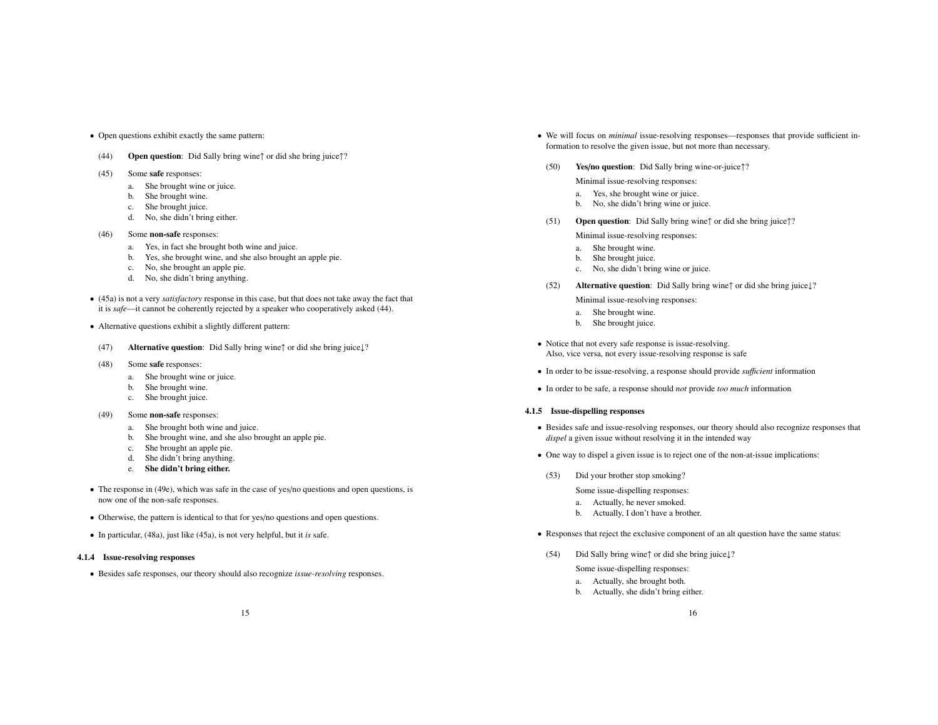- Open questions exhibit exactly the same pattern:
- (44) Open question: Did Sally bring wine↑ or did she bring juice↑?
- (45) Some safe responses:
	- a. She brought wine or juice.
	- b. She brought wine.
	- c. She brought juice.
	- d. No, she didn't bring either.
- (46) Some non-safe responses:
	- a. Yes, in fact she brought both wine and juice.
	- b. Yes, she brought wine, and she also brought an apple pie.
	- c. No, she brought an apple pie.
	- d. No, she didn't bring anything.
- (45a) is not a very *satisfactory* response in this case, but that does not take away the fact that it is *safe*—it cannot be coherently rejected by a speaker who cooperatively asked (44).
- Alternative questions exhibit a slightly different pattern:
- (47) Alternative question: Did Sally bring wine↑ or did she bring juice↓?
- (48) Some safe responses:
	- a. She brought wine or juice.
	- b. She brought wine.
	- c. She brought juice.
- (49) Some non-safe responses:
	- a. She brought both wine and juice.
	- b. She brought wine, and she also brought an apple pie.
	- c. She brought an apple pie.
	- d. She didn't bring anything.
	- e. She didn't bring either.
- The response in (49e), which was safe in the case of yes/no questions and open questions, is now one of the non-safe responses.
- Otherwise, the pattern is identical to that for yes/no questions and open questions.
- In particular, (48a), just like (45a), is not very helpful, but it *is* safe.

#### 4.1.4 Issue-resolving responses

• Besides safe responses, our theory should also recognize *issue-resolving* responses.

- We will focus on *minimal* issue-resolving responses—responses that provide sufficient information to resolve the given issue, but not more than necessary.
- (50) Yes/no question: Did Sally bring wine-or-juice↑?
	- Minimal issue-resolving responses:
	- a. Yes, she brought wine or juice.
	- b. No, she didn't bring wine or juice.
- (51) Open question: Did Sally bring wine↑ or did she bring juice↑?

Minimal issue-resolving responses:

- a. She brought wine.
- b. She brought juice.
- c. No, she didn't bring wine or juice.
- (52) Alternative question: Did Sally bring wine↑ or did she bring juice↓?

Minimal issue-resolving responses:

- a. She brought wine.
- b. She brought juice.
- Notice that not every safe response is issue-resolving. Also, vice versa, not every issue-resolving response is safe
- In order to be issue-resolving, a response should provide *su*ffi*cient* information
- In order to be safe, a response should *not* provide *too much* information

#### 4.1.5 Issue-dispelling responses

- Besides safe and issue-resolving responses, our theory should also recognize responses that *dispel* a given issue without resolving it in the intended way
- One way to dispel a given issue is to reject one of the non-at-issue implications:
- (53) Did your brother stop smoking?
	- Some issue-dispelling responses:
	- a. Actually, he never smoked.
	- b. Actually, I don't have a brother.
- Responses that reject the exclusive component of an alt question have the same status:
- (54) Did Sally bring wine↑ or did she bring juice↓?

Some issue-dispelling responses:

- a. Actually, she brought both.
- b. Actually, she didn't bring either.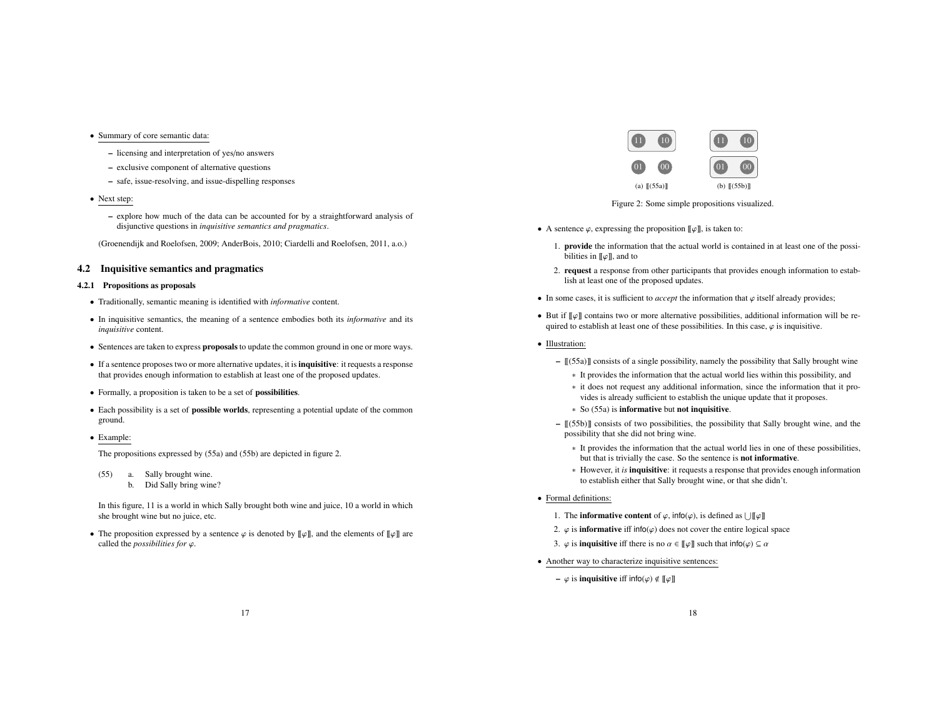- Summary of core semantic data:
	- licensing and interpretation of yes/no answers
	- exclusive component of alternative questions
	- safe, issue-resolving, and issue-dispelling responses
- Next step:
	- explore how much of the data can be accounted for by a straightforward analysis of disjunctive questions in *inquisitive semantics and pragmatics*.

(Groenendijk and Roelofsen, 2009; AnderBois, 2010; Ciardelli and Roelofsen, 2011, a.o.)

### 4.2 Inquisitive semantics and pragmatics

## 4.2.1 Propositions as proposals

- Traditionally, semantic meaning is identified with *informative* content.
- In inquisitive semantics, the meaning of a sentence embodies both its *informative* and its *inquisitive* content.
- Sentences are taken to express proposals to update the common ground in one or more ways.
- If a sentence proposes two or more alternative updates, it is **inquisitive**: it requests a response that provides enough information to establish at least one of the proposed updates.
- Formally, a proposition is taken to be a set of possibilities.
- Each possibility is a set of possible worlds, representing a potential update of the common ground.
- Example:

The propositions expressed by (55a) and (55b) are depicted in figure 2.

- (55) a. Sally brought wine.
	- b. Did Sally bring wine?

In this figure, 11 is a world in which Sally brought both wine and juice, 10 a world in which she brought wine but no juice, etc.

• The proposition expressed by a sentence  $\varphi$  is denoted by  $[\![\varphi]\!]$ , and the elements of  $[\![\varphi]\!]$  are called the *possibilities for* ϕ.



Figure 2: Some simple propositions visualized.

- A sentence  $\varphi$ , expressing the proposition  $[\![\varphi]\!]$ , is taken to:
	- 1. provide the information that the actual world is contained in at least one of the possibilities in  $\llbracket \varphi \rrbracket$ , and to
	- 2. request a response from other participants that provides enough information to establish at least one of the proposed updates.
- In some cases, it is sufficient to *accept* the information that  $\varphi$  itself already provides;
- But if  $\llbracket \varphi \rrbracket$  contains two or more alternative possibilities, additional information will be required to establish at least one of these possibilities. In this case,  $\varphi$  is inquisitive.
- Illustration:
	- $[(55a)]$  consists of a single possibility, namely the possibility that Sally brought wine
		- ∗ It provides the information that the actual world lies within this possibility, and
		- ∗ it does not request any additional information, since the information that it provides is already sufficient to establish the unique update that it proposes.
		- ∗ So (55a) is informative but not inquisitive.
	- $[(55b)]$  consists of two possibilities, the possibility that Sally brought wine, and the possibility that she did not bring wine.
		- ∗ It provides the information that the actual world lies in one of these possibilities, but that is trivially the case. So the sentence is not informative.
		- ∗ However, it *is* inquisitive: it requests a response that provides enough information to establish either that Sally brought wine, or that she didn't.
- Formal definitions:
	- 1. The **informative content** of  $\varphi$ , info( $\varphi$ ), is defined as  $\lfloor \|\varphi\| \rfloor$
	- 2.  $\varphi$  is **informative** iff info( $\varphi$ ) does not cover the entire logical space
	- 3.  $\varphi$  is **inquisitive** iff there is no  $\alpha \in [\![\varphi]\!]$  such that  $\text{info}(\varphi) \subseteq \alpha$
- Another way to characterize inquisitive sentences:
	- $\varphi$  is **inquisitive** iff  $\text{info}(\varphi) \notin \llbracket \varphi \rrbracket$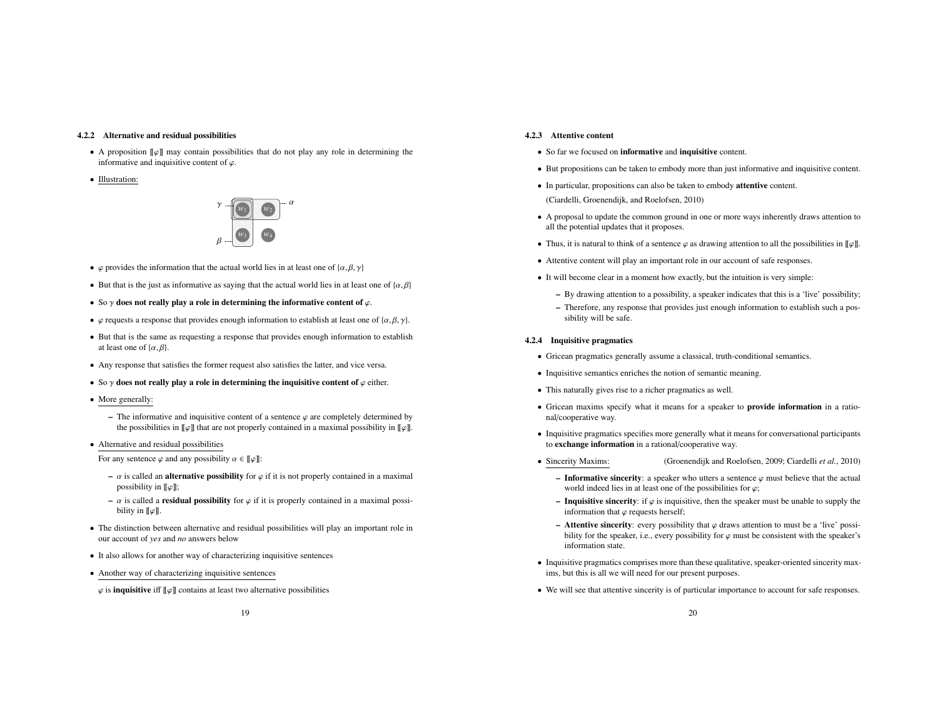#### 4.2.2 Alternative and residual possibilities

- A proposition  $\llbracket \varphi \rrbracket$  may contain possibilities that do not play any role in determining the informative and inquisitive content of  $\varphi$ .
- Illustration:



- $\varphi$  provides the information that the actual world lies in at least one of  $\{\alpha, \beta, \gamma\}$
- But that is the just as informative as saying that the actual world lies in at least one of  $\{\alpha, \beta\}$
- So  $\gamma$  does not really play a role in determining the informative content of  $\varphi$ .
- $\varphi$  requests a response that provides enough information to establish at least one of { $\alpha, \beta, \gamma$ }.
- But that is the same as requesting a response that provides enough information to establish at least one of  $\{\alpha, \beta\}$ .
- Any response that satisfies the former request also satisfies the latter, and vice versa.
- So  $\gamma$  does not really play a role in determining the inquisitive content of  $\varphi$  either.
- More generally:
	- The informative and inquisitive content of a sentence  $\varphi$  are completely determined by the possibilities in  $\llbracket \varphi \rrbracket$  that are not properly contained in a maximal possibility in  $\llbracket \varphi \rrbracket$ .
- Alternative and residual possibilities

For any sentence  $\varphi$  and any possibility  $\alpha \in [\![\varphi]\!]$ :

- $\alpha$  is called an **alternative possibility** for  $\varphi$  if it is not properly contained in a maximal possibility in  $\llbracket \varphi \rrbracket$ ;
- $\alpha$  is called a **residual possibility** for  $\varphi$  if it is properly contained in a maximal possibility in  $\llbracket \varphi \rrbracket$ .
- The distinction between alternative and residual possibilities will play an important role in our account of *yes* and *no* answers below
- It also allows for another way of characterizing inquisitive sentences
- Another way of characterizing inquisitive sentences
- $\varphi$  is **inquisitive** iff  $\llbracket \varphi \rrbracket$  contains at least two alternative possibilities

### 4.2.3 Attentive content

- So far we focused on informative and inquisitive content.
- But propositions can be taken to embody more than just informative and inquisitive content.
- In particular, propositions can also be taken to embody attentive content. (Ciardelli, Groenendijk, and Roelofsen, 2010)
- A proposal to update the common ground in one or more ways inherently draws attention to all the potential updates that it proposes.
- Thus, it is natural to think of a sentence  $\varphi$  as drawing attention to all the possibilities in  $\llbracket \varphi \rrbracket$ .
- Attentive content will play an important role in our account of safe responses.
- It will become clear in a moment how exactly, but the intuition is very simple:
	- By drawing attention to a possibility, a speaker indicates that this is a 'live' possibility;
	- Therefore, any response that provides just enough information to establish such a possibility will be safe.

#### 4.2.4 Inquisitive pragmatics

- Gricean pragmatics generally assume a classical, truth-conditional semantics.
- Inquisitive semantics enriches the notion of semantic meaning.
- This naturally gives rise to a richer pragmatics as well.
- Gricean maxims specify what it means for a speaker to provide information in a rational/cooperative way.
- Inquisitive pragmatics specifies more generally what it means for conversational participants to exchange information in a rational/cooperative way.
- Sincerity Maxims: (Groenendijk and Roelofsen, 2009; Ciardelli *et al.*, 2010)
	- Informative sincerity: a speaker who utters a sentence  $\varphi$  must believe that the actual world indeed lies in at least one of the possibilities for  $\varphi$ ;
	- Inquisitive sincerity: if  $\varphi$  is inquisitive, then the speaker must be unable to supply the information that  $\varphi$  requests herself;
	- Attentive sincerity: every possibility that  $\varphi$  draws attention to must be a 'live' possibility for the speaker, i.e., every possibility for  $\varphi$  must be consistent with the speaker's information state.
- Inquisitive pragmatics comprises more than these qualitative, speaker-oriented sincerity maxims, but this is all we will need for our present purposes.
- We will see that attentive sincerity is of particular importance to account for safe responses.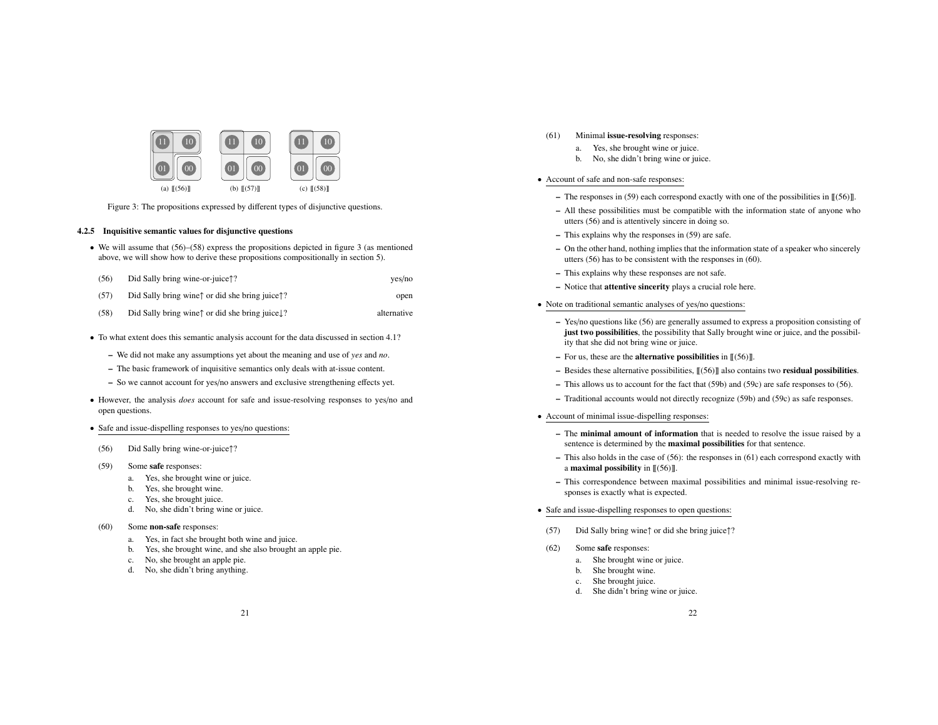

Figure 3: The propositions expressed by different types of disjunctive questions.

#### 4.2.5 Inquisitive semantic values for disjunctive questions

• We will assume that  $(56)$ – $(58)$  express the propositions depicted in figure 3 (as mentioned above, we will show how to derive these propositions compositionally in section 5).

| (56) | Did Sally bring wine-or-juice??                                                                                 | yes/no |
|------|-----------------------------------------------------------------------------------------------------------------|--------|
| (57) | Did Sally bring wine <sup><math>\uparrow</math></sup> or did she bring juice <sup><math>\uparrow</math></sup> ? | open   |

- (58) Did Sally bring wine↑ or did she bring juice↓? alternative
- To what extent does this semantic analysis account for the data discussed in section 4.1?
	- We did not make any assumptions yet about the meaning and use of *yes* and *no*.
	- The basic framework of inquisitive semantics only deals with at-issue content.
	- So we cannot account for yes/no answers and exclusive strengthening effects yet.
- However, the analysis *does* account for safe and issue-resolving responses to yes/no and open questions.
- Safe and issue-dispelling responses to yes/no questions:
- (56) Did Sally bring wine-or-juice↑?
- (59) Some safe responses:
	- a. Yes, she brought wine or juice.
	- b. Yes, she brought wine.
	- c. Yes, she brought juice.
	- d. No, she didn't bring wine or juice.
- (60) Some non-safe responses:
	- a. Yes, in fact she brought both wine and juice.
	- b. Yes, she brought wine, and she also brought an apple pie.
	- c. No, she brought an apple pie.
	- d. No, she didn't bring anything.
- (61) Minimal issue-resolving responses:
	- a. Yes, she brought wine or juice.
	- b. No, she didn't bring wine or juice.

## • Account of safe and non-safe responses:

- The responses in (59) each correspond exactly with one of the possibilities in  $[(56)]$ .
- All these possibilities must be compatible with the information state of anyone who utters (56) and is attentively sincere in doing so.
- This explains why the responses in (59) are safe.
- On the other hand, nothing implies that the information state of a speaker who sincerely utters (56) has to be consistent with the responses in (60).
- This explains why these responses are not safe.
- Notice that attentive sincerity plays a crucial role here.
- Note on traditional semantic analyses of yes/no questions:
	- Yes/no questions like (56) are generally assumed to express a proposition consisting of just two possibilities, the possibility that Sally brought wine or juice, and the possibility that she did not bring wine or juice.
	- For us, these are the **alternative possibilities** in  $\mathcal{L}(56)\mathcal{L}$ .
	- Besides these alternative possibilities,  $\llbracket (56) \rrbracket$  also contains two **residual possibilities**.
	- This allows us to account for the fact that (59b) and (59c) are safe responses to (56).
	- Traditional accounts would not directly recognize (59b) and (59c) as safe responses.
- Account of minimal issue-dispelling responses:
	- The minimal amount of information that is needed to resolve the issue raised by a sentence is determined by the maximal possibilities for that sentence.
	- This also holds in the case of (56): the responses in (61) each correspond exactly with a **maximal possibility** in  $\mathbb{I}(56)\mathbb{I}$ .
	- This correspondence between maximal possibilities and minimal issue-resolving responses is exactly what is expected.
- Safe and issue-dispelling responses to open questions:
- (57) Did Sally bring wine↑ or did she bring juice↑?
- (62) Some safe responses:
	- a. She brought wine or juice.
	- b. She brought wine.
	- c. She brought juice.
	- d. She didn't bring wine or juice.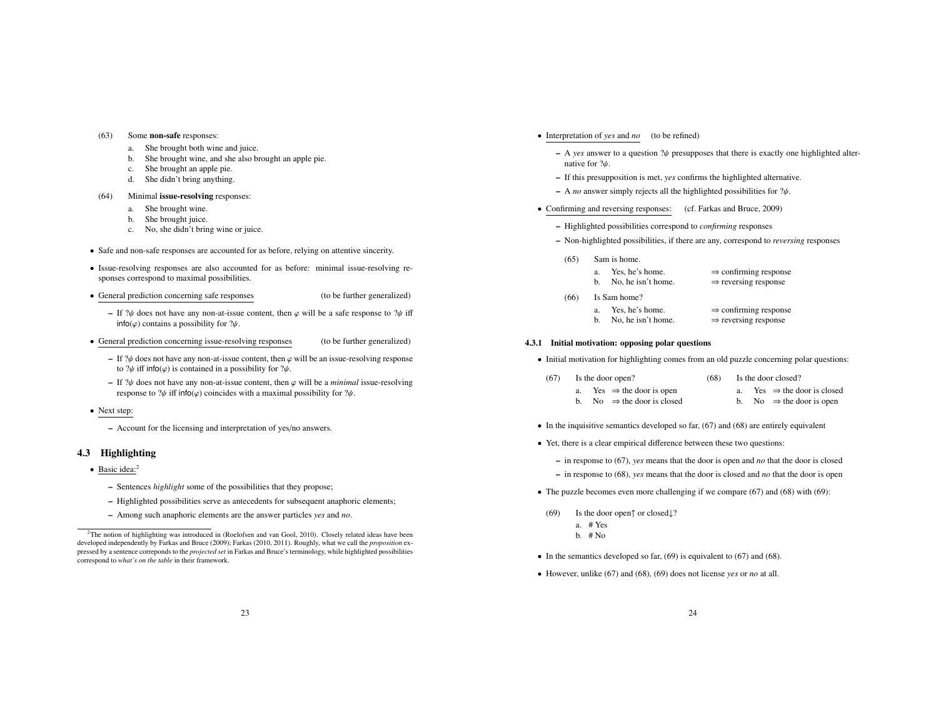#### (63) Some non-safe responses:

- a. She brought both wine and juice.
- b. She brought wine, and she also brought an apple pie.
- c. She brought an apple pie.
- d. She didn't bring anything.
- (64) Minimal issue-resolving responses:
	- a. She brought wine.
	- b. She brought juice.
	- c. No, she didn't bring wine or juice.
- Safe and non-safe responses are accounted for as before, relying on attentive sincerity.
- Issue-resolving responses are also accounted for as before: minimal issue-resolving responses correspond to maximal possibilities.
- General prediction concerning safe responses (to be further generalized)
	- If  $\mathcal{W}$  does not have any non-at-issue content, then  $\varphi$  will be a safe response to  $\mathcal{W}$  iff  $info(\varphi)$  contains a possibility for  $?\psi$ .
- General prediction concerning issue-resolving responses (to be further generalized)
	- If  $\partial \psi$  does not have any non-at-issue content, then  $\varphi$  will be an issue-resolving response to  $?\psi$  iff info( $\varphi$ ) is contained in a possibility for  $?\psi$ .
	- If  $\mathcal{W}$  does not have any non-at-issue content, then  $\varphi$  will be a *minimal* issue-resolving response to  $\psi$  iff info( $\varphi$ ) coincides with a maximal possibility for  $\psi$ .
- Next step:
	- Account for the licensing and interpretation of yes/no answers.

## 4.3 Highlighting

- Basic idea:<sup>2</sup>
	- Sentences *highlight* some of the possibilities that they propose;
	- Highlighted possibilities serve as antecedents for subsequent anaphoric elements;
	- Among such anaphoric elements are the answer particles *yes* and *no*.
- Interpretation of *yes* and *no* (to be refined)
	- $-$  A *yes* answer to a question  $\mathcal{W}$  presupposes that there is exactly one highlighted alternative for ?ψ.
	- If this presupposition is met, *yes* confirms the highlighted alternative.
	- $-$  A *no* answer simply rejects all the highlighted possibilities for  $\mathcal{W}$ .
- Confirming and reversing responses: (cf. Farkas and Bruce, 2009)
	- Highlighted possibilities correspond to *confirming* responses
	- Non-highlighted possibilities, if there are any, correspond to *reversing* responses
		- (65) Sam is home.

| Yes, he's home. | $\Rightarrow$ confirming response |
|-----------------|-----------------------------------|
|                 |                                   |

| b. | No, he isn't home. | $\Rightarrow$ reversing response |
|----|--------------------|----------------------------------|

- (66) Is Sam home?
	- a. Yes, he's home.  $\Rightarrow$  confirming response<br>b. No, he isn't home.  $\Rightarrow$  reversing response
	- b. No, he isn't home.

#### 4.3.1 Initial motivation: opposing polar questions

• Initial motivation for highlighting comes from an old puzzle concerning polar questions:

| (67) | Is the door open?                   | (68) | Is the door closed?                  |
|------|-------------------------------------|------|--------------------------------------|
|      | Yes $\Rightarrow$ the door is open  |      | Yes $\Rightarrow$ the door is closed |
|      | No $\Rightarrow$ the door is closed |      | No $\Rightarrow$ the door is open    |

- $\bullet$  In the inquisitive semantics developed so far, (67) and (68) are entirely equivalent
- Yet, there is a clear empirical difference between these two questions:
	- in response to (67), *yes* means that the door is open and *no* that the door is closed
	- in response to (68), *yes* means that the door is closed and *no* that the door is open
- The puzzle becomes even more challenging if we compare  $(67)$  and  $(68)$  with  $(69)$ :
- (69) Is the door open↑ or closed↓?
	- a. # Yes b.  $# No$
- In the semantics developed so far,  $(69)$  is equivalent to  $(67)$  and  $(68)$ .
- However, unlike (67) and (68), (69) does not license *yes* or *no* at all.

<sup>&</sup>lt;sup>2</sup>The notion of highlighting was introduced in (Roelofsen and van Gool, 2010). Closely related ideas have been developed independently by Farkas and Bruce (2009); Farkas (2010, 2011). Roughly, what we call the *proposition* expressed by a sentence correponds to the *projected set* in Farkas and Bruce's terminology, while highlighted possibilities correspond to *what's on the table* in their framework.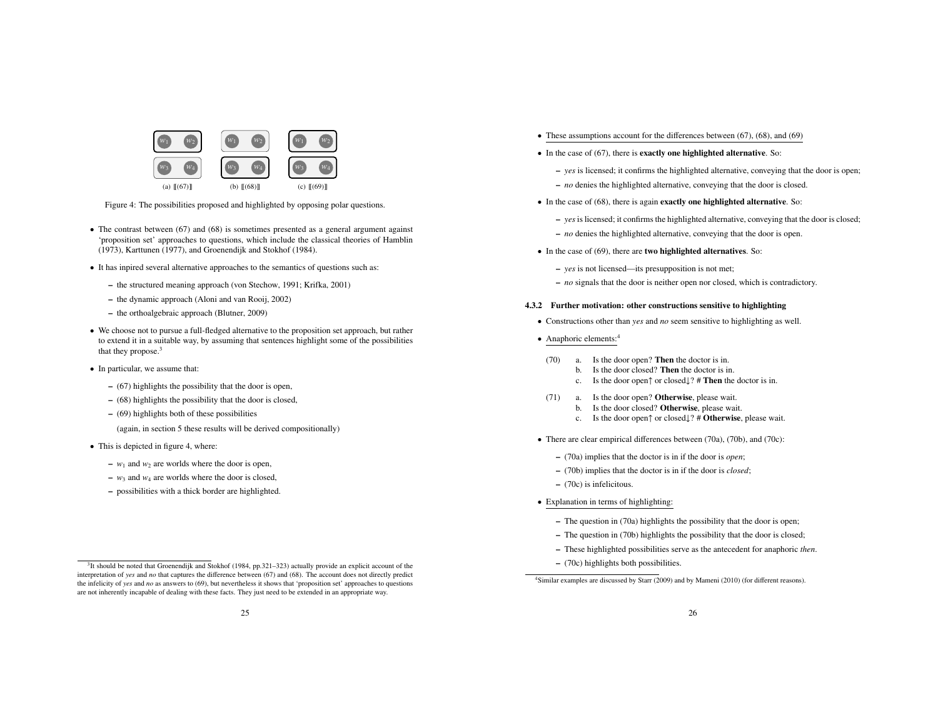

Figure 4: The possibilities proposed and highlighted by opposing polar questions.

- The contrast between (67) and (68) is sometimes presented as a general argument against 'proposition set' approaches to questions, which include the classical theories of Hamblin (1973), Karttunen (1977), and Groenendijk and Stokhof (1984).
- It has inpired several alternative approaches to the semantics of questions such as:
	- the structured meaning approach (von Stechow, 1991; Krifka, 2001)
	- the dynamic approach (Aloni and van Rooij, 2002)
	- the orthoalgebraic approach (Blutner, 2009)
- We choose not to pursue a full-fledged alternative to the proposition set approach, but rather to extend it in a suitable way, by assuming that sentences highlight some of the possibilities that they propose.<sup>3</sup>
- In particular, we assume that:
	- (67) highlights the possibility that the door is open,
	- (68) highlights the possibility that the door is closed,
	- (69) highlights both of these possibilities
	- (again, in section 5 these results will be derived compositionally)
- This is depicted in figure 4, where:
	- $w_1$  and  $w_2$  are worlds where the door is open,
	- $w_3$  and  $w_4$  are worlds where the door is closed.
	- possibilities with a thick border are highlighted.
- These assumptions account for the differences between (67), (68), and (69)
- $\bullet$  In the case of (67), there is **exactly one highlighted alternative**. So:
	- *yes* is licensed; it confirms the highlighted alternative, conveying that the door is open;
	- *no* denies the highlighted alternative, conveying that the door is closed.
- In the case of (68), there is again **exactly one highlighted alternative**. So:
	- *yes* is licensed; it confirms the highlighted alternative, conveying that the door is closed;
	- *no* denies the highlighted alternative, conveying that the door is open.
- In the case of (69), there are **two highlighted alternatives**. So:
	- *yes* is not licensed—its presupposition is not met;
	- *no* signals that the door is neither open nor closed, which is contradictory.

#### 4.3.2 Further motivation: other constructions sensitive to highlighting

- Constructions other than *yes* and *no* seem sensitive to highlighting as well.
- Anaphoric elements:<sup>4</sup>
- (70) a. Is the door open? Then the doctor is in.
	- b. Is the door closed? Then the doctor is in.
	- c. Is the door open↑ or closed↓? # Then the doctor is in.
- (71) a. Is the door open? Otherwise, please wait.
	- b. Is the door closed? Otherwise, please wait.
		- c. Is the door open↑ or closed↓? # Otherwise, please wait.
- There are clear empirical differences between (70a), (70b), and (70c):
	- (70a) implies that the doctor is in if the door is *open*;
	- (70b) implies that the doctor is in if the door is *closed*;
	- (70c) is infelicitous.
- Explanation in terms of highlighting:
	- The question in (70a) highlights the possibility that the door is open;
	- The question in (70b) highlights the possibility that the door is closed;
	- These highlighted possibilities serve as the antecedent for anaphoric *then*.
	- (70c) highlights both possibilities.

<sup>&</sup>lt;sup>3</sup>It should be noted that Groenendijk and Stokhof (1984, pp.321-323) actually provide an explicit account of the interpretation of *yes* and *no* that captures the difference between (67) and (68). The account does not directly predict the infelicity of *yes* and *no* as answers to (69), but nevertheless it shows that 'proposition set' approaches to questions are not inherently incapable of dealing with these facts. They just need to be extended in an appropriate way.

 $\frac{4 \text{Similar examples are discussed by Starr (2009) and by Mameni (2010) (for different reasons).}}{4 \text{ Similar examples are discussed by Starr (2009) and by Mameni (2010) (for different reasons).}}$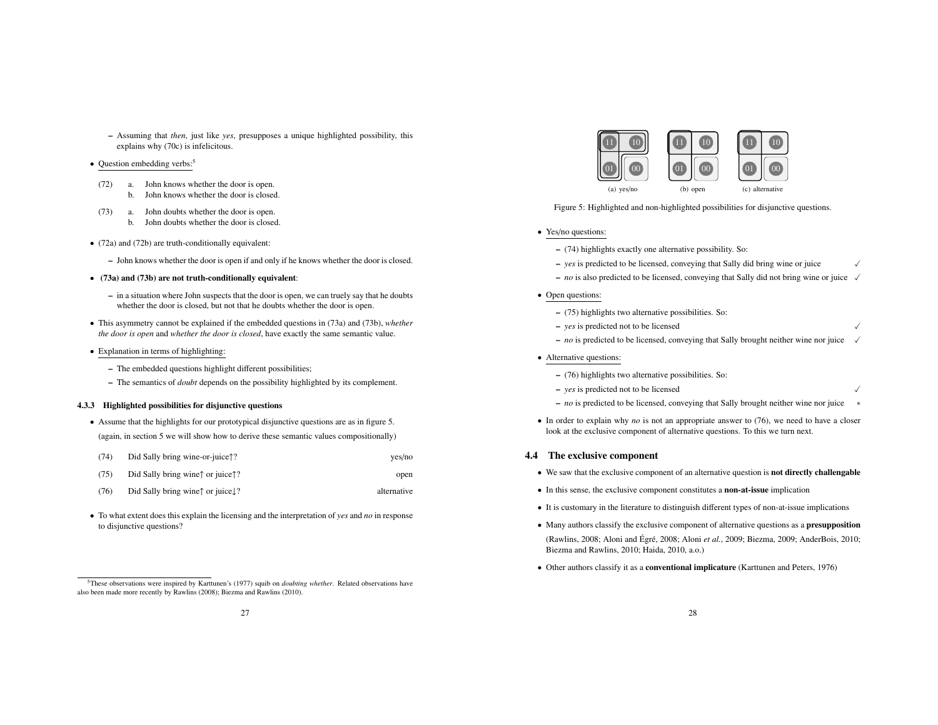– Assuming that *then*, just like *yes*, presupposes a unique highlighted possibility, this explains why (70c) is infelicitous.

### • Question embedding verbs:<sup>5</sup>

- (72) a. John knows whether the door is open. b. John knows whether the door is closed.
- (73) a. John doubts whether the door is open. b. John doubts whether the door is closed.
- (72a) and (72b) are truth-conditionally equivalent:
	- John knows whether the door is open if and only if he knows whether the door is closed.
- (73a) and (73b) are not truth-conditionally equivalent:
	- in a situation where John suspects that the door is open, we can truely say that he doubts whether the door is closed, but not that he doubts whether the door is open.
- This asymmetry cannot be explained if the embedded questions in (73a) and (73b), *whether the door is open* and *whether the door is closed*, have exactly the same semantic value.
- Explanation in terms of highlighting:
	- The embedded questions highlight different possibilities;
	- The semantics of *doubt* depends on the possibility highlighted by its complement.

### 4.3.3 Highlighted possibilities for disjunctive questions

- Assume that the highlights for our prototypical disjunctive questions are as in figure 5. (again, in section 5 we will show how to derive these semantic values compositionally)
- (74) Did Sally bring wine-or-juice↑? yes/no

| (75) | Did Sally bring wine $\uparrow$ or juice $\uparrow$ ?    | open        |
|------|----------------------------------------------------------|-------------|
| (76) | Did Sally bring wine $\uparrow$ or juice, $\downarrow$ ? | alternative |

- 
- To what extent does this explain the licensing and the interpretation of *yes* and *no* in response to disjunctive questions?



Figure 5: Highlighted and non-highlighted possibilities for disjunctive questions.

- Yes/no questions:
	- (74) highlights exactly one alternative possibility. So:
	- $-$  *yes* is predicted to be licensed, conveying that Sally did bring wine or juice  $\sqrt{ }$
	- $-$  *no* is also predicted to be licensed, conveying that Sally did not bring wine or juice  $\sqrt{ }$
- Open questions:
	- (75) highlights two alternative possibilities. So:
	- *yes* is predicted not to be licensed !
	- $-$  *no* is predicted to be licensed, conveying that Sally brought neither wine nor juice
- Alternative questions:
	- (76) highlights two alternative possibilities. So:
	- *yes* is predicted not to be licensed !
	- *no* is predicted to be licensed, conveying that Sally brought neither wine nor juice ∗
- In order to explain why *no* is not an appropriate answer to (76), we need to have a closer look at the exclusive component of alternative questions. To this we turn next.

## 4.4 The exclusive component

- We saw that the exclusive component of an alternative question is **not directly challengable**
- In this sense, the exclusive component constitutes a non-at-issue implication
- It is customary in the literature to distinguish different types of non-at-issue implications
- Many authors classify the exclusive component of alternative questions as a **presupposition**
- (Rawlins, 2008; Aloni and Égré, 2008; Aloni et al., 2009; Biezma, 2009; AnderBois, 2010; Biezma and Rawlins, 2010; Haida, 2010, a.o.)
- Other authors classify it as a conventional implicature (Karttunen and Peters, 1976)

<sup>5</sup>These observations were inspired by Karttunen's (1977) squib on *doubting whether*. Related observations have also been made more recently by Rawlins (2008); Biezma and Rawlins (2010).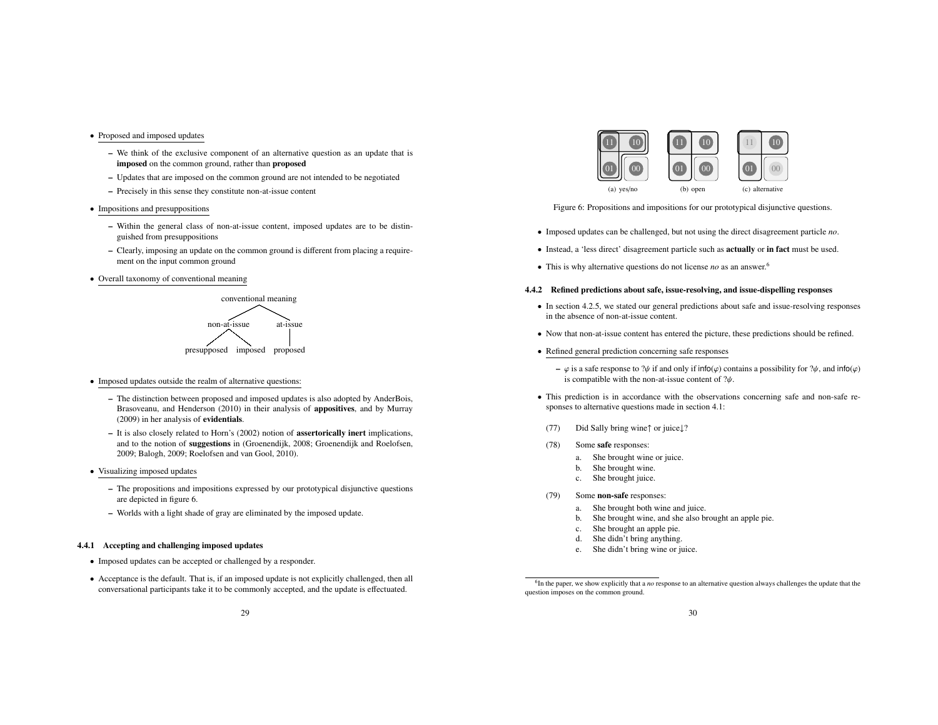- Proposed and imposed updates
	- We think of the exclusive component of an alternative question as an update that is imposed on the common ground, rather than proposed
	- Updates that are imposed on the common ground are not intended to be negotiated
	- Precisely in this sense they constitute non-at-issue content
- Impositions and presuppositions
	- Within the general class of non-at-issue content, imposed updates are to be distinguished from presuppositions
	- Clearly, imposing an update on the common ground is different from placing a requirement on the input common ground
- Overall taxonomy of conventional meaning



- Imposed updates outside the realm of alternative questions:
	- The distinction between proposed and imposed updates is also adopted by AnderBois, Brasoveanu, and Henderson (2010) in their analysis of appositives, and by Murray (2009) in her analysis of evidentials.
	- It is also closely related to Horn's (2002) notion of assertorically inert implications, and to the notion of suggestions in (Groenendijk, 2008; Groenendijk and Roelofsen, 2009; Balogh, 2009; Roelofsen and van Gool, 2010).
- Visualizing imposed updates
	- The propositions and impositions expressed by our prototypical disjunctive questions are depicted in figure 6.
	- Worlds with a light shade of gray are eliminated by the imposed update.

#### 4.4.1 Accepting and challenging imposed updates

- Imposed updates can be accepted or challenged by a responder.
- Acceptance is the default. That is, if an imposed update is not explicitly challenged, then all conversational participants take it to be commonly accepted, and the update is effectuated.



Figure 6: Propositions and impositions for our prototypical disjunctive questions.

- Imposed updates can be challenged, but not using the direct disagreement particle *no*.
- Instead, a 'less direct' disagreement particle such as actually or in fact must be used.
- This is why alternative questions do not license *no* as an answer.6

#### 4.4.2 Refined predictions about safe, issue-resolving, and issue-dispelling responses

- In section 4.2.5, we stated our general predictions about safe and issue-resolving responses in the absence of non-at-issue content.
- Now that non-at-issue content has entered the picture, these predictions should be refined.
- Refined general prediction concerning safe responses
	- $-\varphi$  is a safe response to ? $\psi$  if and only if info( $\varphi$ ) contains a possibility for ? $\psi$ , and info( $\varphi$ ) is compatible with the non-at-issue content of  $\partial \psi$ .
- This prediction is in accordance with the observations concerning safe and non-safe responses to alternative questions made in section 4.1:
- (77) Did Sally bring wine↑ or juice↓?
- (78) Some safe responses:
	- a. She brought wine or juice.
	- b. She brought wine.
	- c. She brought juice.
- (79) Some non-safe responses:
	- a. She brought both wine and juice.
	- b. She brought wine, and she also brought an apple pie.
	- c. She brought an apple pie.
	- d. She didn't bring anything.
	- e. She didn't bring wine or juice.

<sup>&</sup>lt;sup>6</sup>In the paper, we show explicitly that a *no* response to an alternative question always challenges the update that the question imposes on the common ground.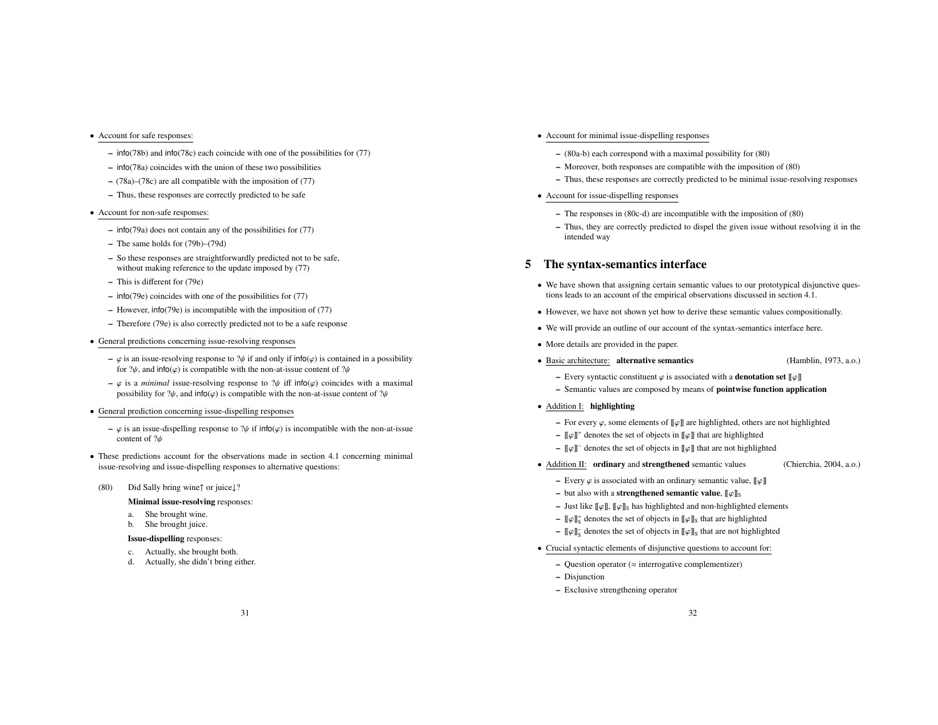## • Account for safe responses:

- info(78b) and info(78c) each coincide with one of the possibilities for (77)
- info(78a) coincides with the union of these two possibilities
- (78a)–(78c) are all compatible with the imposition of (77)
- Thus, these responses are correctly predicted to be safe
- Account for non-safe responses:
	- info(79a) does not contain any of the possibilities for (77)
	- The same holds for (79b)–(79d)
	- So these responses are straightforwardly predicted not to be safe, without making reference to the update imposed by  $(77)$
	- This is different for (79e)
	- info(79e) coincides with one of the possibilities for (77)
	- However, info(79e) is incompatible with the imposition of (77)
	- Therefore (79e) is also correctly predicted not to be a safe response
- General predictions concerning issue-resolving responses
	- $\varphi$  is an issue-resolving response to ? $\psi$  if and only if info( $\varphi$ ) is contained in a possibility for  $\partial \psi$ , and info( $\varphi$ ) is compatible with the non-at-issue content of  $\partial \psi$
	- $-\varphi$  is a *minimal* issue-resolving response to  $\psi$  iff info( $\varphi$ ) coincides with a maximal possibility for  $\partial \psi$ , and info( $\varphi$ ) is compatible with the non-at-issue content of  $\partial \psi$
- General prediction concerning issue-dispelling responses
	- ϕ is an issue-dispelling response to ?ψ if info(ϕ) is incompatible with the non-at-issue content of ?ψ
- These predictions account for the observations made in section 4.1 concerning minimal issue-resolving and issue-dispelling responses to alternative questions:
- (80) Did Sally bring wine↑ or juice↓?

Minimal issue-resolving responses:

- a. She brought wine.
- b. She brought juice.

## Issue-dispelling responses:

- c. Actually, she brought both.
- d. Actually, she didn't bring either.
- Account for minimal issue-dispelling responses
	- (80a-b) each correspond with a maximal possibility for (80)
	- Moreover, both responses are compatible with the imposition of (80)
	- Thus, these responses are correctly predicted to be minimal issue-resolving responses
- Account for issue-dispelling responses
	- The responses in (80c-d) are incompatible with the imposition of (80)
	- Thus, they are correctly predicted to dispel the given issue without resolving it in the intended way

## 5 The syntax-semantics interface

- We have shown that assigning certain semantic values to our prototypical disjunctive questions leads to an account of the empirical observations discussed in section 4.1.
- However, we have not shown yet how to derive these semantic values compositionally.
- We will provide an outline of our account of the syntax-semantics interface here.
- More details are provided in the paper.
- Basic architecture: alternative semantics (Hamblin, 1973, a.o.)
	- Every syntactic constituent  $\varphi$  is associated with a **denotation set**  $[\![\varphi]\!]$
	- Semantic values are composed by means of pointwise function application
- Addition I: highlighting
	- For every  $\varphi$ , some elements of  $\llbracket \varphi \rrbracket$  are highlighted, others are not highlighted
	- $\lbrack \lbrack \phi \rbrack \rbrack$ <sup>+</sup> denotes the set of objects in  $\lbrack \lbrack \phi \rbrack \rbrack$  that are highlighted
	- $\llbracket \varphi \rrbracket$ <sup>-</sup> denotes the set of objects in  $\llbracket \varphi \rrbracket$  that are not highlighted
- Addition II: **ordinary** and **strengthened** semantic values (Chierchia, 2004, a.o.)
	- Every  $\varphi$  is associated with an ordinary semantic value,  $\llbracket \varphi \rrbracket$
	- but also with a **strengthened semantic value**,  $[\varphi]$ <sub>S</sub>
	- Just like  $\llbracket \varphi \rrbracket$ ,  $\llbracket \varphi \rrbracket$  has highlighted and non-highlighted elements
	- $\llbracket \varphi \rrbracket_{S}^{+}$  denotes the set of objects in  $\llbracket \varphi \rrbracket_{S}$  that are highlighted
	- $-$  [[ $\varphi$ ]]<sub>S</sub> denotes the set of objects in [[ $\varphi$ ]]<sub>S</sub> that are not highlighted
- Crucial syntactic elements of disjunctive questions to account for:
	- $-$  Question operator ( $\approx$  interrogative complementizer)
	- Disjunction
	- Exclusive strengthening operator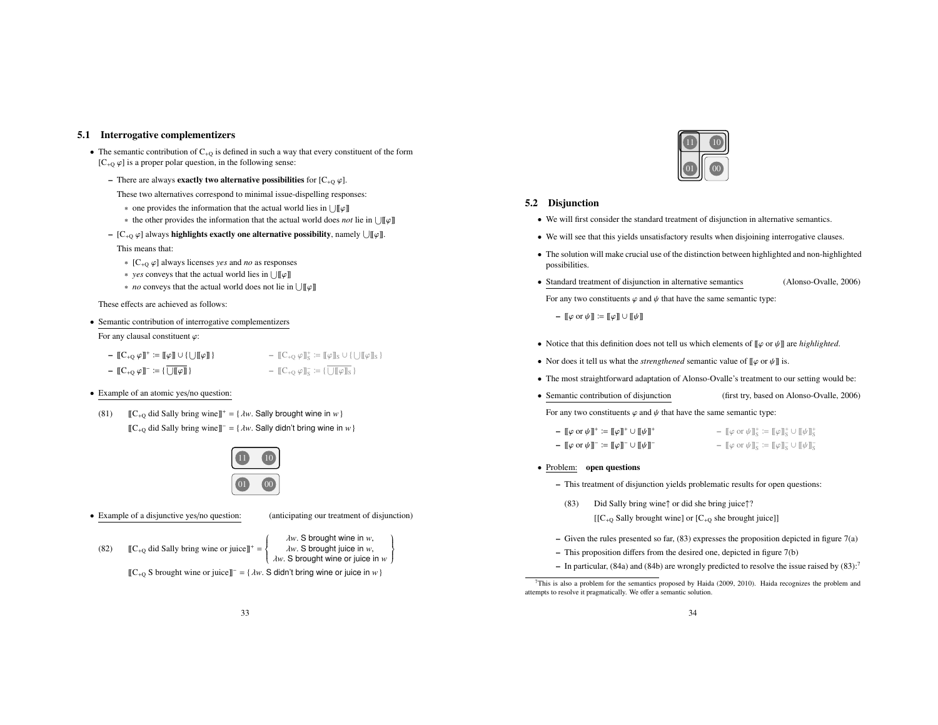#### 5.1 Interrogative complementizers

- The semantic contribution of  $C_{+Q}$  is defined in such a way that every constituent of the form  $[C_{+Q} \varphi]$  is a proper polar question, in the following sense:
	- There are always **exactly two alternative possibilities** for  $[C_{+Q} \varphi]$ .
		- These two alternatives correspond to minimal issue-dispelling responses:
		- one provides the information that the actual world lies in  $\bigcup \llbracket \varphi \rrbracket$
		- ∗ the other provides the information that the actual world does *not* lie in ![[ϕ]]
	- $[C_{+O} \varphi]$  always highlights exactly one alternative possibility, namely  $[ \Pi \varphi]$ .

## This means that:

- ∗ [C+<sup>Q</sup> ϕ] always licenses *yes* and *no* as responses
- ∗ *yes* conveys that the actual world lies in ![[ϕ]]
- ∗ *no* conveys that the actual world does not lie in ![[ϕ]]

These effects are achieved as follows:

• Semantic contribution of interrogative complementizers For any clausal constituent ϕ:

- $\llbracket C_{+Q} \varphi \rrbracket^+ \coloneqq \llbracket \varphi \rrbracket \cup \{ \bigcup \llbracket \varphi \rrbracket \}$ –  $[\![C_{+Q} \varphi]\!]$ <sup>-</sup>  $:= {\{\overline{\bigcup \llbracket \varphi \rrbracket}}\}$  $\mathbb{E} \mathbb{C}_{+Q} \varphi \mathbb{I}_{S}^{+} \coloneqq \mathbb{I} \varphi \mathbb{I}_{S} \cup \{ \bigcup \mathbb{I} \varphi \mathbb{I}_{S} \}$ –  $[\![C_{+Q} \varphi]\!]_S^- := {\{\overline{\bigcup[\![\varphi]\!]_S}}\}$
- Example of an atomic yes/no question:
- (81)  $[[C_{+O} \text{ did Sally bring wine}]]^+ = {\lambda w}$ . Sally brought wine in *w* }  $[[C_{+O}$  did Sally bring wine]]<sup>-</sup> = { $\lambda w$ . Sally didn't bring wine in *w* }



• Example of a disjunctive yes/no question: (anticipating our treatment of disjunction)

 $\overline{ }$  $\downarrow$ J

- (82)  $[[C_{+Q} \text{ did Sally bring wine or juice}]]^+ =$  $\int$  $\overline{\mathcal{L}}$ 
	- λ*w*. S brought wine in *w*, λ*w*. S brought juice in *w*, λ*w*. S brought wine or juice in *w*

 $[[C_{+Q} S]$  brought wine or juice]]<sup>-</sup> = {  $\lambda w$ . S didn't bring wine or juice in *w* }



## 5.2 Disjunction

- We will first consider the standard treatment of disjunction in alternative semantics.
- We will see that this yields unsatisfactory results when disjoining interrogative clauses.
- The solution will make crucial use of the distinction between highlighted and non-highlighted possibilities.
- Standard treatment of disjunction in alternative semantics (Alonso-Ovalle, 2006) For any two constituents  $\varphi$  and  $\psi$  that have the same semantic type:

–  $[\![\varphi \text{ or } \psi]\!] := [\![\varphi]\!] \cup [\![\psi]\!]$ 

- Notice that this definition does not tell us which elements of [[ϕ or ψ]] are *highlighted*.
- Nor does it tell us what the *strengthened* semantic value of  $[\![\varphi \text{ or } \psi]\!]$  is.
- The most straightforward adaptation of Alonso-Ovalle's treatment to our setting would be:
- Semantic contribution of disjunction (first try, based on Alonso-Ovalle, 2006)

For any two constituents  $\varphi$  and  $\psi$  that have the same semantic type:

| $-[[\varphi \text{ or } \psi]]^+ := [[\varphi]]^+ \cup [[\psi]]^+$        | $-$ [[ $\varphi$ or $\psi$ ]] <sup><math>\frac{1}{5}</math></sup> := [[ $\varphi$ ]] <sup><math>\frac{1}{5}</math></sup> $\cup$ [[ $\psi$ ]] <sup><math>\frac{1}{5}</math></sup>                            |
|---------------------------------------------------------------------------|-------------------------------------------------------------------------------------------------------------------------------------------------------------------------------------------------------------|
| $-[[\varphi \text{ or } \psi]]^- \coloneqq [[\varphi]]^- \cup [[\psi]]^-$ | $- \llbracket \varphi \text{ or } \psi \rrbracket_{\mathcal{S}}^{\mathbb{L}} \coloneqq \llbracket \varphi \rrbracket_{\mathcal{S}}^{\mathbb{L}} \cup \llbracket \psi \rrbracket_{\mathcal{S}}^{\mathbb{L}}$ |

- Problem: open questions
	- This treatment of disjunction yields problematic results for open questions:
	- (83) Did Sally bring wine↑ or did she bring juice↑?

 $[[C_{+O}$  Sally brought wine] or  $[C_{+O}$  she brought juice]]

- Given the rules presented so far,  $(83)$  expresses the proposition depicted in figure  $7(a)$
- This proposition differs from the desired one, depicted in figure 7(b)
- In particular,  $(84a)$  and  $(84b)$  are wrongly predicted to resolve the issue raised by  $(83)$ :

 $7$ This is also a problem for the semantics proposed by Haida (2009, 2010). Haida recognizes the problem and attempts to resolve it pragmatically. We offer a semantic solution.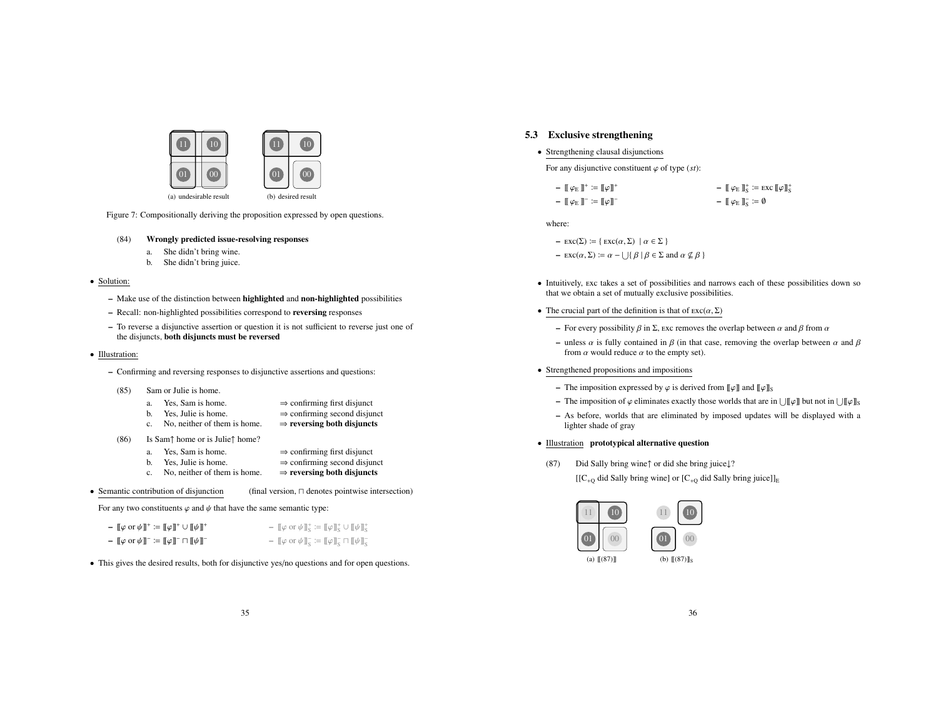

Figure 7: Compositionally deriving the proposition expressed by open questions.

#### (84) Wrongly predicted issue-resolving responses

- a. She didn't bring wine.
- b. She didn't bring juice.

## • Solution:

- Make use of the distinction between highlighted and non-highlighted possibilities
- Recall: non-highlighted possibilities correspond to reversing responses
- To reverse a disjunctive assertion or question it is not sufficient to reverse just one of the disjuncts, both disjuncts must be reversed

#### • Illustration:

– Confirming and reversing responses to disjunctive assertions and questions:

#### (85) Sam or Julie is home.

- a. Yes, Sam is home.  $\Rightarrow$  confirming first disjunct b. Yes. Julie is home.  $\Rightarrow$  confirming second disjunct  $\Rightarrow$  confirming second disjunct<br> $\Rightarrow$  reversing both disjuncts
- c. No, neither of them is home.
- (86) Is Sam $\uparrow$  home or is Julie $\uparrow$  home?<br>a. Yes. Sam is home.
	- a. Yes, Sam is home.  $\Rightarrow$  confirming first disjunct b. Yes. Julie is home.  $\Rightarrow$  confirming second disjunct
	-
	- c. No, neither of them is home.
- $\Rightarrow$  confirming second disjunct<br> $\Rightarrow$  reversing both disjuncts
- 

• Semantic contribution of disjunction (final version,  $\Box$  denotes pointwise intersection)

For any two constituents  $\varphi$  and  $\psi$  that have the same semantic type:

| $-$ [[ $\varphi$ or $\psi$ ]] <sup>+</sup> := [[ $\varphi$ ]] <sup>+</sup> $\cup$ [[ $\psi$ ]] <sup>+</sup> | $ \llbracket \varphi \text{ or } \psi \rrbracket^*_{\mathcal{S}} \coloneqq \llbracket \varphi \rrbracket^*_{\mathcal{S}} \cup \llbracket \psi \rrbracket^*_{\mathcal{S}}$                                  |
|-------------------------------------------------------------------------------------------------------------|------------------------------------------------------------------------------------------------------------------------------------------------------------------------------------------------------------|
| $-[[\varphi \text{ or } \psi]]^- \coloneqq [[\varphi]]^- \sqcap [[\psi]]^-$                                 | $ \llbracket \varphi \text{ or } \psi \rrbracket_{\mathcal{S}}^{\mathbb{L}} \coloneqq \llbracket \varphi \rrbracket_{\mathcal{S}}^{\mathbb{L}} \cap \llbracket \psi \rrbracket_{\mathcal{S}}^{\mathbb{L}}$ |

• This gives the desired results, both for disjunctive yes/no questions and for open questions.

## 5.3 Exclusive strengthening

• Strengthening clausal disjunctions

For any disjunctive constituent  $\varphi$  of type (*st*):

| $-[[\varphi_E]]^* \coloneqq [\varphi]]^*$  | $ \llbracket \varphi_{\text{E}} \rrbracket_{\text{S}}^+ := \text{exc} \llbracket \varphi \rrbracket_{\text{S}}^+$ |
|--------------------------------------------|-------------------------------------------------------------------------------------------------------------------|
| $-[[\varphi_E]]^- \coloneqq [[\varphi]]^-$ | $ \llbracket \varphi_E \rrbracket_S = \emptyset$                                                                  |

where:

- $\text{exc}(\Sigma) := \{ \text{exc}(\alpha, \Sigma) \mid \alpha \in \Sigma \}$
- $-$  EXC( $\alpha$ ,  $\Sigma$ )  $:= \alpha \bigcup \{ \beta \mid \beta \in \Sigma \text{ and } \alpha \nsubseteq \beta \}$
- Intuitively, exc takes a set of possibilities and narrows each of these possibilities down so that we obtain a set of mutually exclusive possibilities.
- The crucial part of the definition is that of  $\text{exc}(\alpha, \Sigma)$ 
	- For every possibility  $\beta$  in  $\Sigma$ , exc removes the overlap between  $\alpha$  and  $\beta$  from  $\alpha$
	- unless  $\alpha$  is fully contained in  $\beta$  (in that case, removing the overlap between  $\alpha$  and  $\beta$ from  $\alpha$  would reduce  $\alpha$  to the empty set).

#### • Strengthened propositions and impositions

- The imposition expressed by  $\varphi$  is derived from  $[\![\varphi]\!]$  and  $[\![\varphi]\!]_S$
- The imposition of  $\varphi$  eliminates exactly those worlds that are in  $\| \tilde{\psi} \|$  but not in  $\| \tilde{\psi} \|$ s
- As before, worlds that are eliminated by imposed updates will be displayed with a lighter shade of gray

#### • Illustration prototypical alternative question

(87) Did Sally bring wine↑ or did she bring juice↓?  $[[C_{+Q}$  did Sally bring wine] or  $[C_{+Q}$  did Sally bring juice]]<sub>E</sub>



(a) [[(87)]] (b)  $[[(87)]]_S$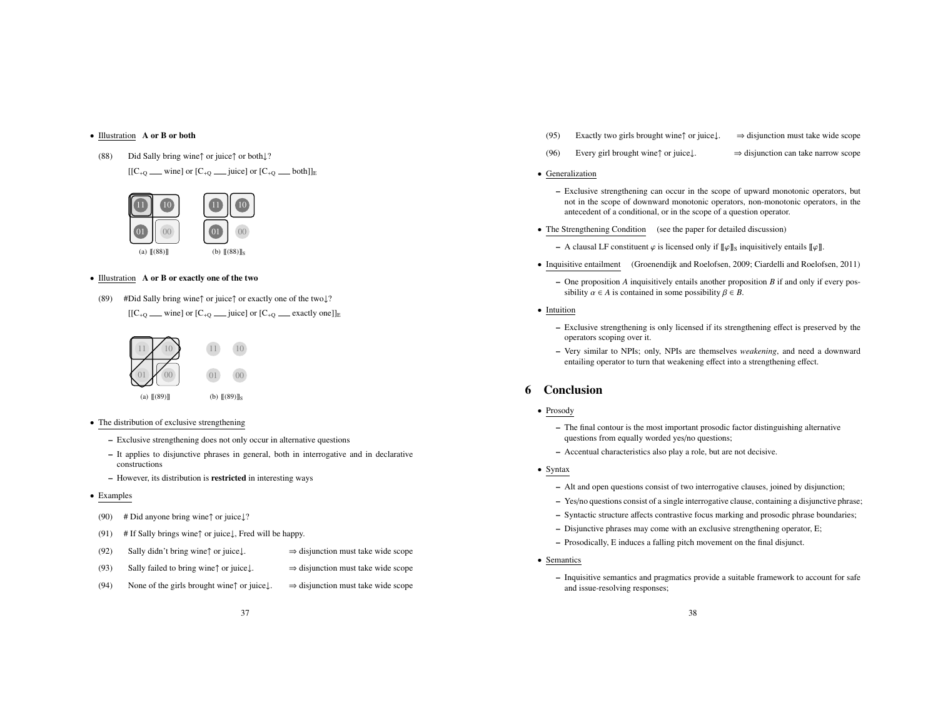### • Illustration A or B or both

(88) Did Sally bring wine↑ or juice↑ or both↓?

 $[[C_{+Q} \t{min}]$  or  $[C_{+Q} \t{min}]$  or  $[C_{+Q} \t{min}]_E$ 



#### • Illustration A or B or exactly one of the two

(89) #Did Sally bring wine↑ or juice↑ or exactly one of the two↓?  $[[C_{+Q}$  wine] or  $[C_{+Q}$  iuice] or  $[C_{+Q}$  exactly one]]<sub>E</sub>



- The distribution of exclusive strengthening
	- Exclusive strengthening does not only occur in alternative questions
	- It applies to disjunctive phrases in general, both in interrogative and in declarative constructions
	- However, its distribution is restricted in interesting ways
- Examples
- (90) # Did anyone bring wine $\uparrow$  or juice $\downarrow$ ?
- (91) # If Sally brings wine↑ or juice↓, Fred will be happy.
- (92) Sally didn't bring wine↑ or juice↓.  $\Rightarrow$  disjunction must take wide scope
- (93) Sally failed to bring wine↑ or juice⊥.  $\Rightarrow$  disjunction must take wide scope
- (94) None of the girls brought wine↑ or juice↓.  $\Rightarrow$  disjunction must take wide scope
- (95) Exactly two girls brought wine↑ or juice↓.  $\Rightarrow$  disjunction must take wide scope
- (96) Every girl brought wine↑ or juice↓. ⇒ disjunction can take narrow scope
- Generalization
	- Exclusive strengthening can occur in the scope of upward monotonic operators, but not in the scope of downward monotonic operators, non-monotonic operators, in the antecedent of a conditional, or in the scope of a question operator.
- The Strengthening Condition (see the paper for detailed discussion)
	- A clausal LF constituent  $\varphi$  is licensed only if  $\llbracket \varphi \rrbracket$ s inquisitively entails  $\llbracket \varphi \rrbracket$ .
- Inquisitive entailment (Groenendijk and Roelofsen, 2009; Ciardelli and Roelofsen, 2011)
	- One proposition *A* inquisitively entails another proposition *B* if and only if every possibility  $\alpha \in A$  is contained in some possibility  $\beta \in B$ .
- Intuition
	- Exclusive strengthening is only licensed if its strengthening effect is preserved by the operators scoping over it.
	- Very similar to NPIs; only, NPIs are themselves *weakening*, and need a downward entailing operator to turn that weakening effect into a strengthening effect.

## 6 Conclusion

- Prosody
	- The final contour is the most important prosodic factor distinguishing alternative questions from equally worded yes/no questions;
	- Accentual characteristics also play a role, but are not decisive.
- Syntax
	- Alt and open questions consist of two interrogative clauses, joined by disjunction;
	- Yes/no questions consist of a single interrogative clause, containing a disjunctive phrase;
	- Syntactic structure affects contrastive focus marking and prosodic phrase boundaries;
	- Disjunctive phrases may come with an exclusive strengthening operator, E;
	- Prosodically, E induces a falling pitch movement on the final disjunct.
- Semantics
	- Inquisitive semantics and pragmatics provide a suitable framework to account for safe and issue-resolving responses;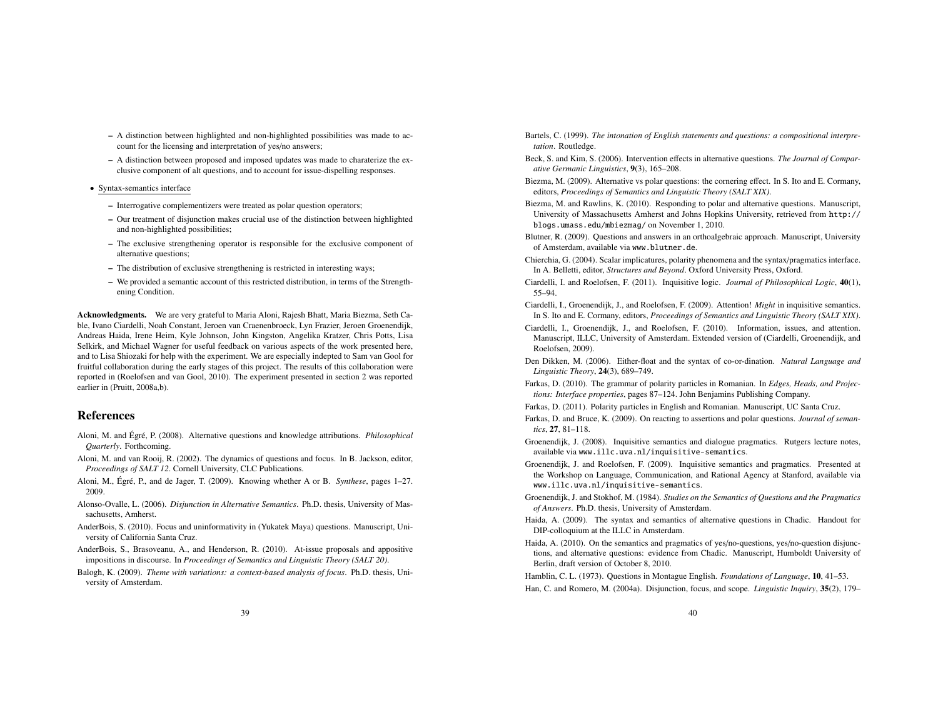- A distinction between highlighted and non-highlighted possibilities was made to account for the licensing and interpretation of yes/no answers;
- A distinction between proposed and imposed updates was made to charaterize the exclusive component of alt questions, and to account for issue-dispelling responses.
- Syntax-semantics interface
	- Interrogative complementizers were treated as polar question operators;
	- Our treatment of disjunction makes crucial use of the distinction between highlighted and non-highlighted possibilities;
	- The exclusive strengthening operator is responsible for the exclusive component of alternative questions;
	- The distribution of exclusive strengthening is restricted in interesting ways;
	- We provided a semantic account of this restricted distribution, in terms of the Strengthening Condition.

Acknowledgments. We are very grateful to Maria Aloni, Rajesh Bhatt, Maria Biezma, Seth Cable, Ivano Ciardelli, Noah Constant, Jeroen van Craenenbroeck, Lyn Frazier, Jeroen Groenendijk, Andreas Haida, Irene Heim, Kyle Johnson, John Kingston, Angelika Kratzer, Chris Potts, Lisa Selkirk, and Michael Wagner for useful feedback on various aspects of the work presented here, and to Lisa Shiozaki for help with the experiment. We are especially indepted to Sam van Gool for fruitful collaboration during the early stages of this project. The results of this collaboration were reported in (Roelofsen and van Gool, 2010). The experiment presented in section 2 was reported earlier in (Pruitt, 2008a,b).

## References

- Aloni, M. and Égré, P. (2008). Alternative questions and knowledge attributions. *Philosophical Quarterly*. Forthcoming.
- Aloni, M. and van Rooij, R. (2002). The dynamics of questions and focus. In B. Jackson, editor, *Proceedings of SALT 12*. Cornell University, CLC Publications.
- Aloni, M., Égré, P., and de Jager, T. (2009). Knowing whether A or B. *Synthese*, pages 1–27. 2009.
- Alonso-Ovalle, L. (2006). *Disjunction in Alternative Semantics*. Ph.D. thesis, University of Massachusetts, Amherst.
- AnderBois, S. (2010). Focus and uninformativity in (Yukatek Maya) questions. Manuscript, University of California Santa Cruz.
- AnderBois, S., Brasoveanu, A., and Henderson, R. (2010). At-issue proposals and appositive impositions in discourse. In *Proceedings of Semantics and Linguistic Theory (SALT 20)*.
- Balogh, K. (2009). *Theme with variations: a context-based analysis of focus*. Ph.D. thesis, University of Amsterdam.

Bartels, C. (1999). *The intonation of English statements and questions: a compositional interpretation*. Routledge.

- Beck, S. and Kim, S. (2006). Intervention effects in alternative questions. *The Journal of Comparative Germanic Linguistics*, 9(3), 165–208.
- Biezma, M. (2009). Alternative vs polar questions: the cornering effect. In S. Ito and E. Cormany, editors, *Proceedings of Semantics and Linguistic Theory (SALT XIX)*.
- Biezma, M. and Rawlins, K. (2010). Responding to polar and alternative questions. Manuscript, University of Massachusetts Amherst and Johns Hopkins University, retrieved from http:// blogs.umass.edu/mbiezmag/ on November 1, 2010.
- Blutner, R. (2009). Questions and answers in an orthoalgebraic approach. Manuscript, University of Amsterdam, available via www.blutner.de.
- Chierchia, G. (2004). Scalar implicatures, polarity phenomena and the syntax/pragmatics interface. In A. Belletti, editor, *Structures and Beyond*. Oxford University Press, Oxford.
- Ciardelli, I. and Roelofsen, F. (2011). Inquisitive logic. *Journal of Philosophical Logic*, 40(1), 55–94.
- Ciardelli, I., Groenendijk, J., and Roelofsen, F. (2009). Attention! *Might* in inquisitive semantics. In S. Ito and E. Cormany, editors, *Proceedings of Semantics and Linguistic Theory (SALT XIX)*.
- Ciardelli, I., Groenendijk, J., and Roelofsen, F. (2010). Information, issues, and attention. Manuscript, ILLC, University of Amsterdam. Extended version of (Ciardelli, Groenendijk, and Roelofsen, 2009).
- Den Dikken, M. (2006). Either-float and the syntax of co-or-dination. *Natural Language and Linguistic Theory*, 24(3), 689–749.
- Farkas, D. (2010). The grammar of polarity particles in Romanian. In *Edges, Heads, and Projections: Interface properties*, pages 87–124. John Benjamins Publishing Company.
- Farkas, D. (2011). Polarity particles in English and Romanian. Manuscript, UC Santa Cruz.
- Farkas, D. and Bruce, K. (2009). On reacting to assertions and polar questions. *Journal of semantics*, 27, 81–118.
- Groenendijk, J. (2008). Inquisitive semantics and dialogue pragmatics. Rutgers lecture notes, available via www.illc.uva.nl/inquisitive-semantics.
- Groenendijk, J. and Roelofsen, F. (2009). Inquisitive semantics and pragmatics. Presented at the Workshop on Language, Communication, and Rational Agency at Stanford, available via www.illc.uva.nl/inquisitive-semantics.
- Groenendijk, J. and Stokhof, M. (1984). *Studies on the Semantics of Questions and the Pragmatics of Answers*. Ph.D. thesis, University of Amsterdam.
- Haida, A. (2009). The syntax and semantics of alternative questions in Chadic. Handout for DIP-colloquium at the ILLC in Amsterdam.
- Haida, A. (2010). On the semantics and pragmatics of yes/no-questions, yes/no-question disjunctions, and alternative questions: evidence from Chadic. Manuscript, Humboldt University of Berlin, draft version of October 8, 2010.

Hamblin, C. L. (1973). Questions in Montague English. *Foundations of Language*, 10, 41–53.

Han, C. and Romero, M. (2004a). Disjunction, focus, and scope. *Linguistic Inquiry*, 35(2), 179–